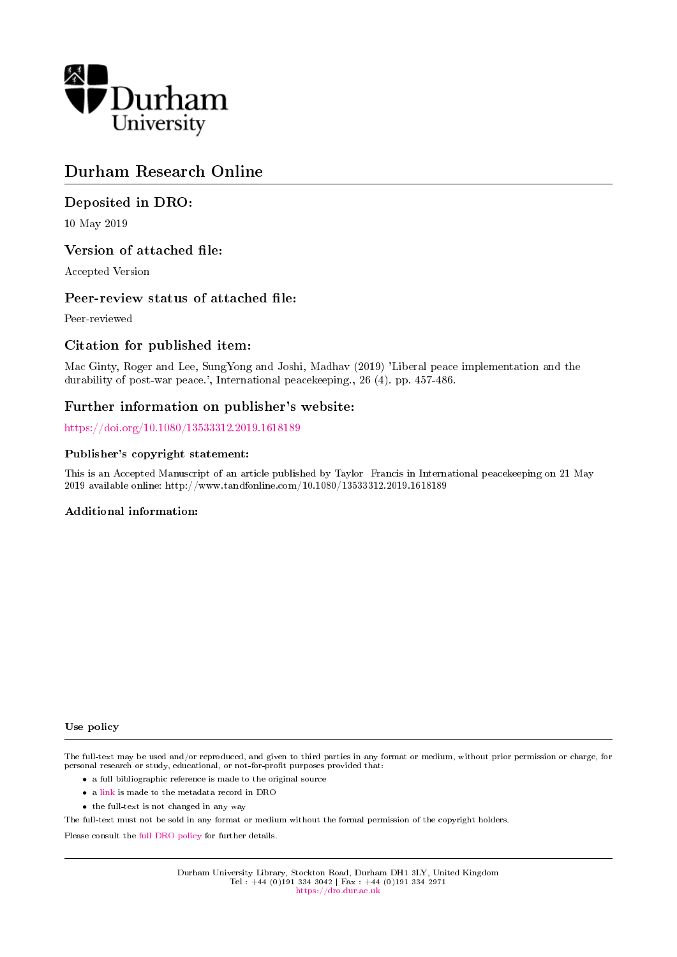

# Durham Research Online

## Deposited in DRO:

10 May 2019

### Version of attached file:

Accepted Version

### Peer-review status of attached file:

Peer-reviewed

## Citation for published item:

Mac Ginty, Roger and Lee, SungYong and Joshi, Madhav (2019) 'Liberal peace implementation and the durability of post-war peace.', International peacekeeping., 26 (4). pp. 457-486.

## Further information on publisher's website:

<https://doi.org/10.1080/13533312.2019.1618189>

#### Publisher's copyright statement:

This is an Accepted Manuscript of an article published by Taylor Francis in International peacekeeping on 21 May 2019 available online: http://www.tandfonline.com/10.1080/13533312.2019.1618189

#### Additional information:

#### Use policy

The full-text may be used and/or reproduced, and given to third parties in any format or medium, without prior permission or charge, for personal research or study, educational, or not-for-profit purposes provided that:

- a full bibliographic reference is made to the original source
- a [link](http://dro.dur.ac.uk/28159/) is made to the metadata record in DRO
- the full-text is not changed in any way

The full-text must not be sold in any format or medium without the formal permission of the copyright holders.

Please consult the [full DRO policy](https://dro.dur.ac.uk/policies/usepolicy.pdf) for further details.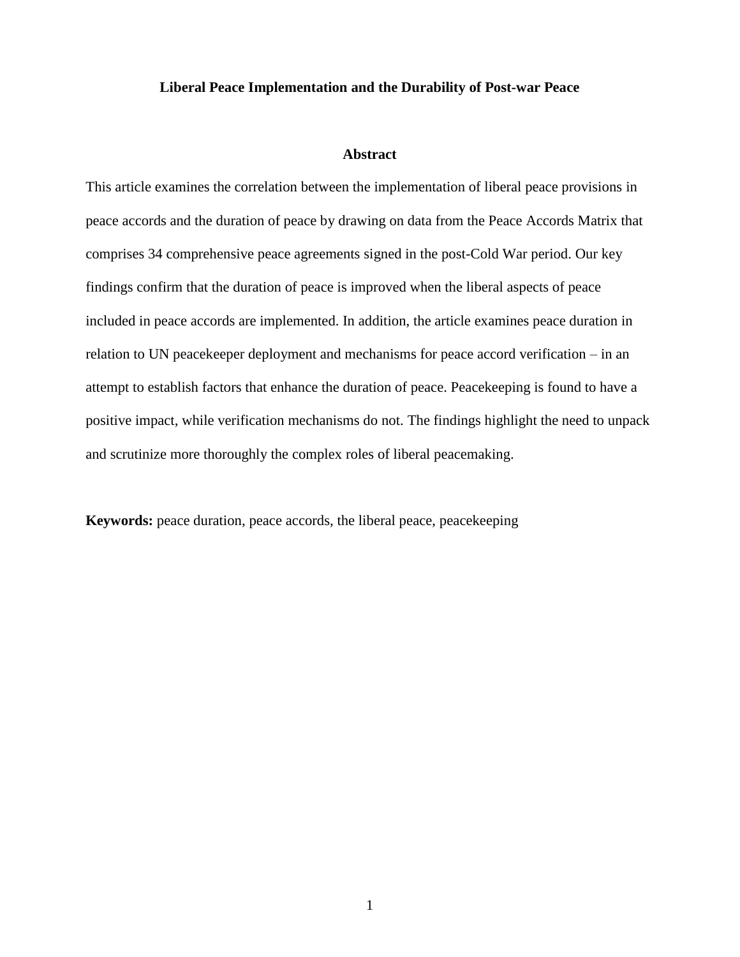#### **Liberal Peace Implementation and the Durability of Post-war Peace**

#### **Abstract**

This article examines the correlation between the implementation of liberal peace provisions in peace accords and the duration of peace by drawing on data from the Peace Accords Matrix that comprises 34 comprehensive peace agreements signed in the post-Cold War period. Our key findings confirm that the duration of peace is improved when the liberal aspects of peace included in peace accords are implemented. In addition, the article examines peace duration in relation to UN peacekeeper deployment and mechanisms for peace accord verification – in an attempt to establish factors that enhance the duration of peace. Peacekeeping is found to have a positive impact, while verification mechanisms do not. The findings highlight the need to unpack and scrutinize more thoroughly the complex roles of liberal peacemaking.

**Keywords:** peace duration, peace accords, the liberal peace, peacekeeping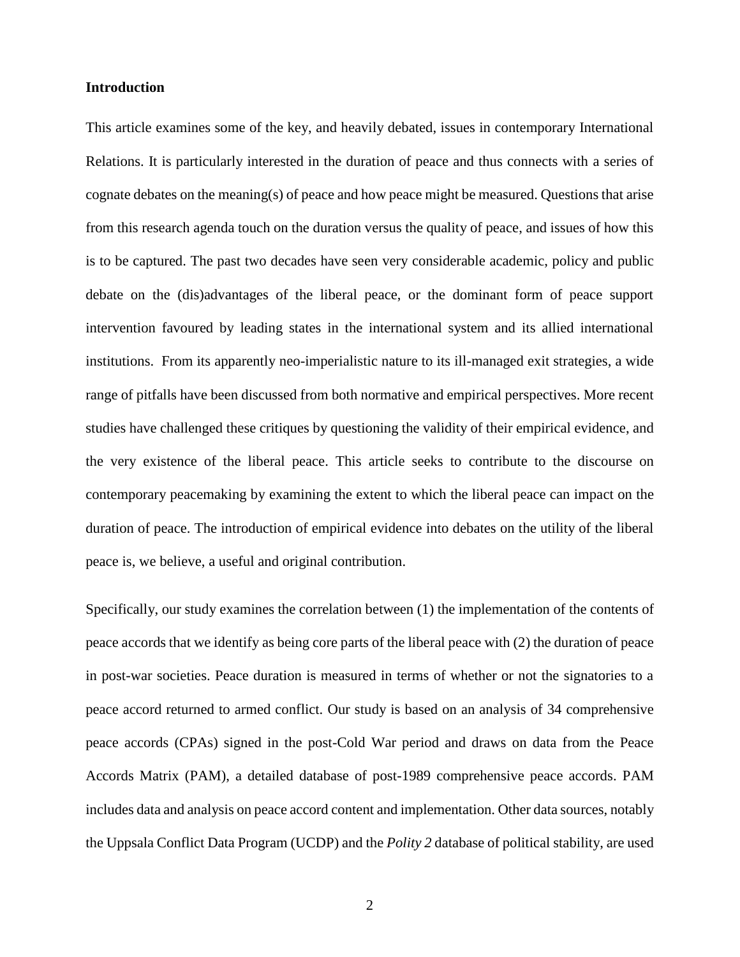### **Introduction**

This article examines some of the key, and heavily debated, issues in contemporary International Relations. It is particularly interested in the duration of peace and thus connects with a series of cognate debates on the meaning(s) of peace and how peace might be measured. Questions that arise from this research agenda touch on the duration versus the quality of peace, and issues of how this is to be captured. The past two decades have seen very considerable academic, policy and public debate on the (dis)advantages of the liberal peace, or the dominant form of peace support intervention favoured by leading states in the international system and its allied international institutions. From its apparently neo-imperialistic nature to its ill-managed exit strategies, a wide range of pitfalls have been discussed from both normative and empirical perspectives. More recent studies have challenged these critiques by questioning the validity of their empirical evidence, and the very existence of the liberal peace. This article seeks to contribute to the discourse on contemporary peacemaking by examining the extent to which the liberal peace can impact on the duration of peace. The introduction of empirical evidence into debates on the utility of the liberal peace is, we believe, a useful and original contribution.

Specifically, our study examines the correlation between (1) the implementation of the contents of peace accords that we identify as being core parts of the liberal peace with (2) the duration of peace in post-war societies. Peace duration is measured in terms of whether or not the signatories to a peace accord returned to armed conflict. Our study is based on an analysis of 34 comprehensive peace accords (CPAs) signed in the post-Cold War period and draws on data from the Peace Accords Matrix (PAM), a detailed database of post-1989 comprehensive peace accords. PAM includes data and analysis on peace accord content and implementation. Other data sources, notably the Uppsala Conflict Data Program (UCDP) and the *Polity 2* database of political stability, are used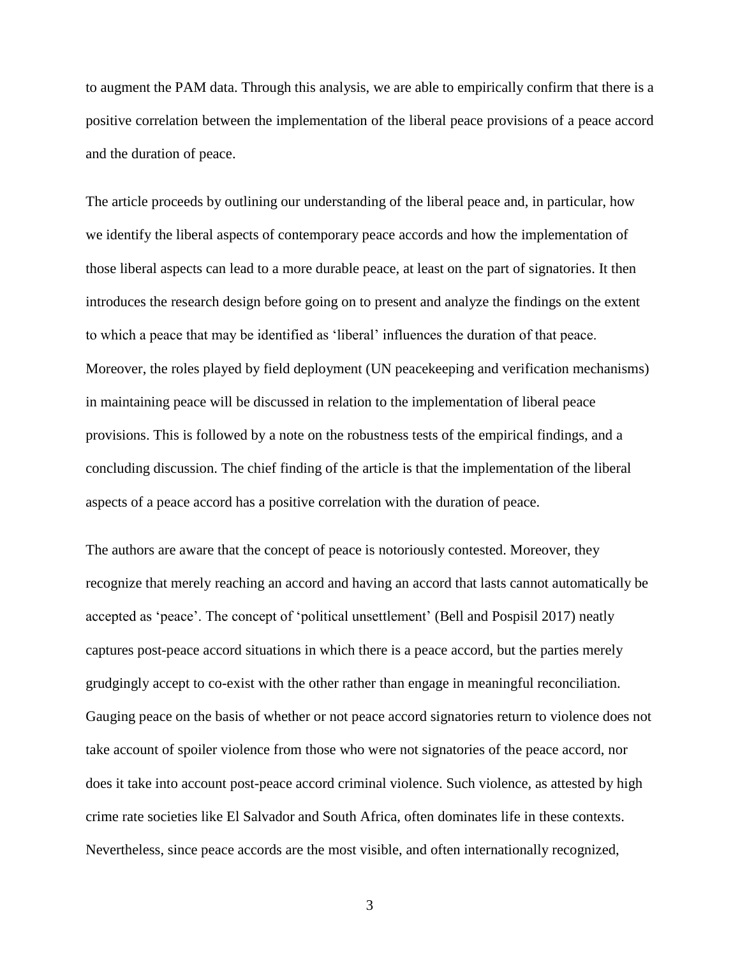to augment the PAM data. Through this analysis, we are able to empirically confirm that there is a positive correlation between the implementation of the liberal peace provisions of a peace accord and the duration of peace.

The article proceeds by outlining our understanding of the liberal peace and, in particular, how we identify the liberal aspects of contemporary peace accords and how the implementation of those liberal aspects can lead to a more durable peace, at least on the part of signatories. It then introduces the research design before going on to present and analyze the findings on the extent to which a peace that may be identified as 'liberal' influences the duration of that peace. Moreover, the roles played by field deployment (UN peacekeeping and verification mechanisms) in maintaining peace will be discussed in relation to the implementation of liberal peace provisions. This is followed by a note on the robustness tests of the empirical findings, and a concluding discussion. The chief finding of the article is that the implementation of the liberal aspects of a peace accord has a positive correlation with the duration of peace.

The authors are aware that the concept of peace is notoriously contested. Moreover, they recognize that merely reaching an accord and having an accord that lasts cannot automatically be accepted as 'peace'. The concept of 'political unsettlement' (Bell and Pospisil 2017) neatly captures post-peace accord situations in which there is a peace accord, but the parties merely grudgingly accept to co-exist with the other rather than engage in meaningful reconciliation. Gauging peace on the basis of whether or not peace accord signatories return to violence does not take account of spoiler violence from those who were not signatories of the peace accord, nor does it take into account post-peace accord criminal violence. Such violence, as attested by high crime rate societies like El Salvador and South Africa, often dominates life in these contexts. Nevertheless, since peace accords are the most visible, and often internationally recognized,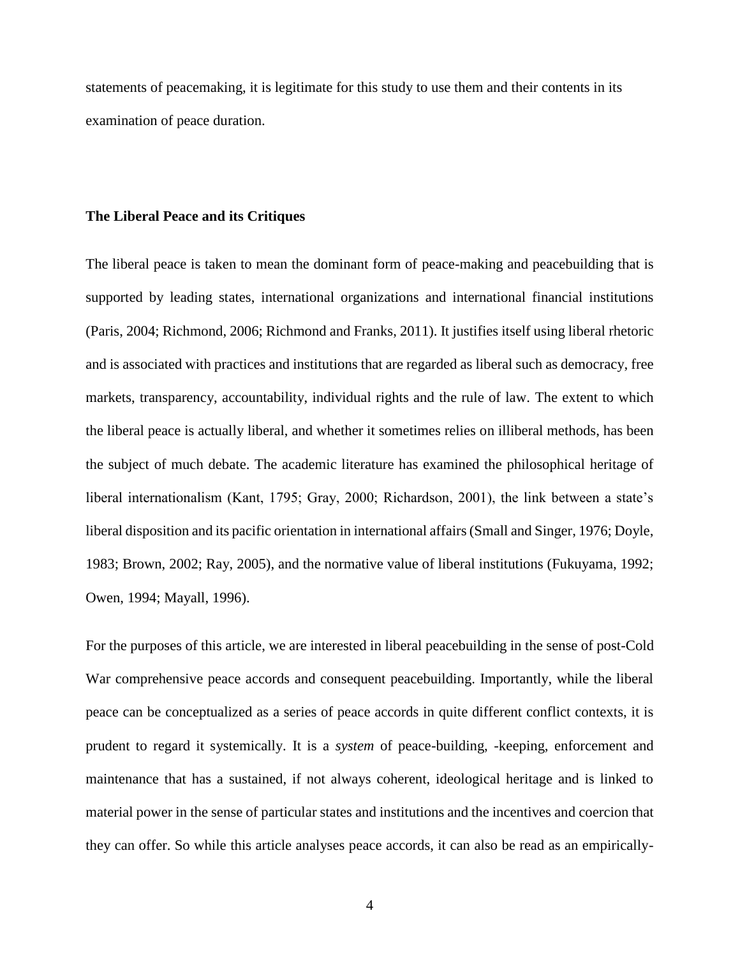statements of peacemaking, it is legitimate for this study to use them and their contents in its examination of peace duration.

#### **The Liberal Peace and its Critiques**

The liberal peace is taken to mean the dominant form of peace-making and peacebuilding that is supported by leading states, international organizations and international financial institutions (Paris, 2004; Richmond, 2006; Richmond and Franks, 2011). It justifies itself using liberal rhetoric and is associated with practices and institutions that are regarded as liberal such as democracy, free markets, transparency, accountability, individual rights and the rule of law. The extent to which the liberal peace is actually liberal, and whether it sometimes relies on illiberal methods, has been the subject of much debate. The academic literature has examined the philosophical heritage of liberal internationalism (Kant, 1795; Gray, 2000; Richardson, 2001), the link between a state's liberal disposition and its pacific orientation in international affairs (Small and Singer, 1976; Doyle, 1983; Brown, 2002; Ray, 2005), and the normative value of liberal institutions (Fukuyama, 1992; Owen, 1994; Mayall, 1996).

For the purposes of this article, we are interested in liberal peacebuilding in the sense of post-Cold War comprehensive peace accords and consequent peacebuilding. Importantly, while the liberal peace can be conceptualized as a series of peace accords in quite different conflict contexts, it is prudent to regard it systemically. It is a *system* of peace-building, -keeping, enforcement and maintenance that has a sustained, if not always coherent, ideological heritage and is linked to material power in the sense of particular states and institutions and the incentives and coercion that they can offer. So while this article analyses peace accords, it can also be read as an empirically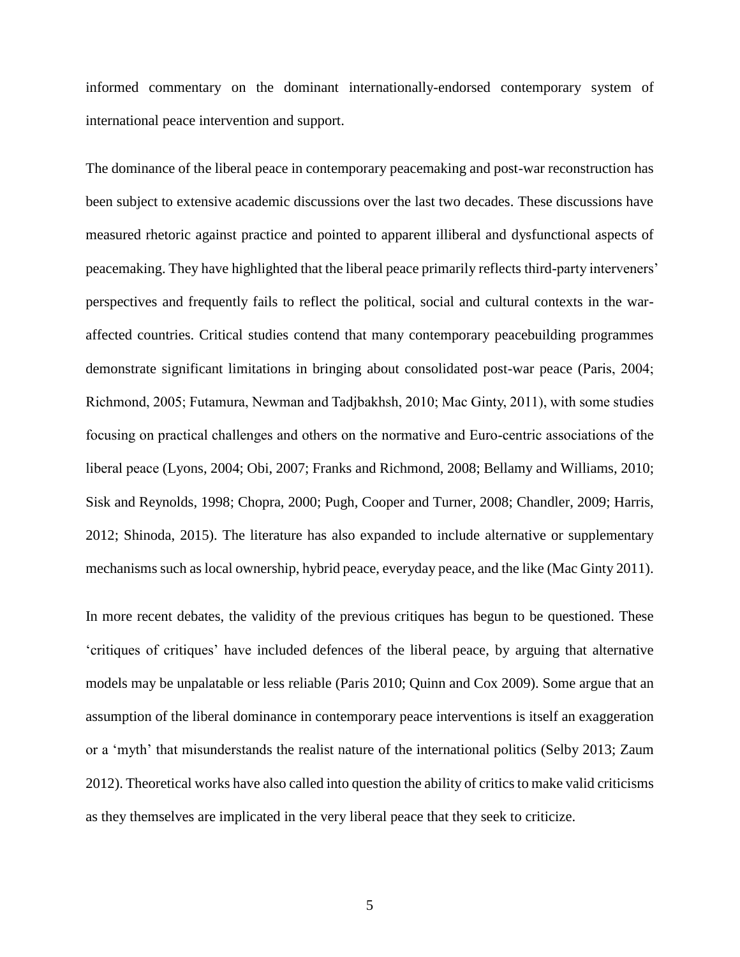informed commentary on the dominant internationally-endorsed contemporary system of international peace intervention and support.

The dominance of the liberal peace in contemporary peacemaking and post-war reconstruction has been subject to extensive academic discussions over the last two decades. These discussions have measured rhetoric against practice and pointed to apparent illiberal and dysfunctional aspects of peacemaking. They have highlighted that the liberal peace primarily reflects third-party interveners' perspectives and frequently fails to reflect the political, social and cultural contexts in the waraffected countries. Critical studies contend that many contemporary peacebuilding programmes demonstrate significant limitations in bringing about consolidated post-war peace (Paris, 2004; Richmond, 2005; Futamura, Newman and Tadjbakhsh, 2010; Mac Ginty, 2011), with some studies focusing on practical challenges and others on the normative and Euro-centric associations of the liberal peace (Lyons, 2004; Obi, 2007; Franks and Richmond, 2008; Bellamy and Williams, 2010; Sisk and Reynolds, 1998; Chopra, 2000; Pugh, Cooper and Turner, 2008; Chandler, 2009; Harris, 2012; Shinoda, 2015). The literature has also expanded to include alternative or supplementary mechanisms such as local ownership, hybrid peace, everyday peace, and the like (Mac Ginty 2011).

In more recent debates, the validity of the previous critiques has begun to be questioned. These 'critiques of critiques' have included defences of the liberal peace, by arguing that alternative models may be unpalatable or less reliable (Paris 2010; Quinn and Cox 2009). Some argue that an assumption of the liberal dominance in contemporary peace interventions is itself an exaggeration or a 'myth' that misunderstands the realist nature of the international politics (Selby 2013; Zaum 2012). Theoretical works have also called into question the ability of critics to make valid criticisms as they themselves are implicated in the very liberal peace that they seek to criticize.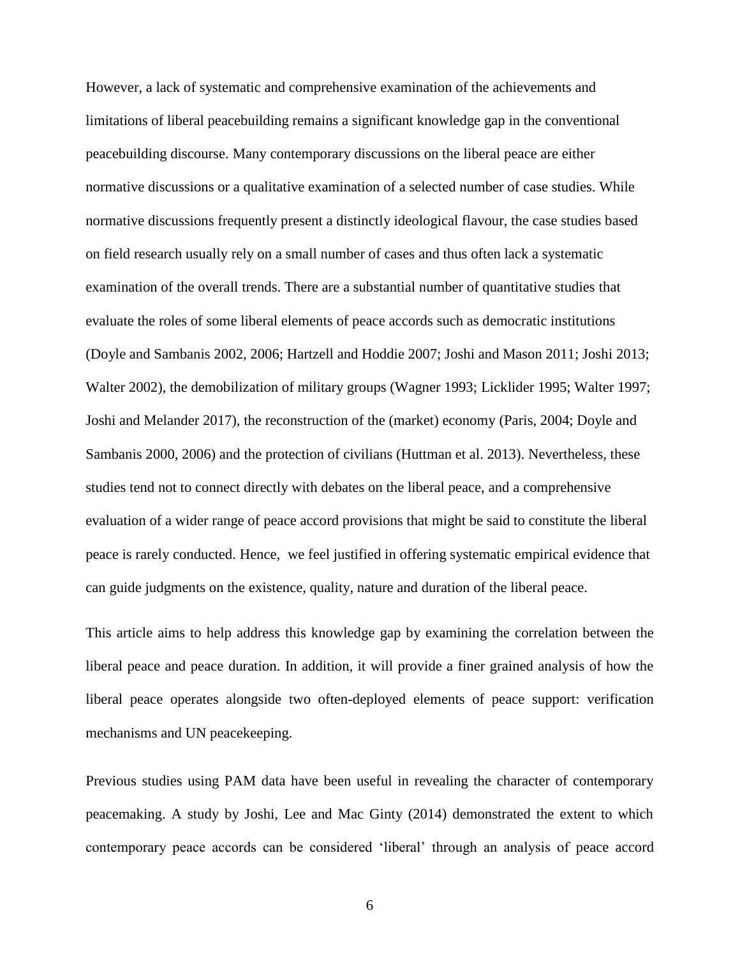However, a lack of systematic and comprehensive examination of the achievements and limitations of liberal peacebuilding remains a significant knowledge gap in the conventional peacebuilding discourse. Many contemporary discussions on the liberal peace are either normative discussions or a qualitative examination of a selected number of case studies. While normative discussions frequently present a distinctly ideological flavour, the case studies based on field research usually rely on a small number of cases and thus often lack a systematic examination of the overall trends. There are a substantial number of quantitative studies that evaluate the roles of some liberal elements of peace accords such as democratic institutions (Doyle and Sambanis 2002, 2006; Hartzell and Hoddie 2007; Joshi and Mason 2011; Joshi 2013; Walter 2002), the demobilization of military groups (Wagner 1993; Licklider 1995; Walter 1997; Joshi and Melander 2017), the reconstruction of the (market) economy (Paris, 2004; Doyle and Sambanis 2000, 2006) and the protection of civilians (Huttman et al. 2013). Nevertheless, these studies tend not to connect directly with debates on the liberal peace, and a comprehensive evaluation of a wider range of peace accord provisions that might be said to constitute the liberal peace is rarely conducted. Hence, we feel justified in offering systematic empirical evidence that can guide judgments on the existence, quality, nature and duration of the liberal peace.

This article aims to help address this knowledge gap by examining the correlation between the liberal peace and peace duration. In addition, it will provide a finer grained analysis of how the liberal peace operates alongside two often-deployed elements of peace support: verification mechanisms and UN peacekeeping.

Previous studies using PAM data have been useful in revealing the character of contemporary peacemaking. A study by Joshi, Lee and Mac Ginty (2014) demonstrated the extent to which contemporary peace accords can be considered 'liberal' through an analysis of peace accord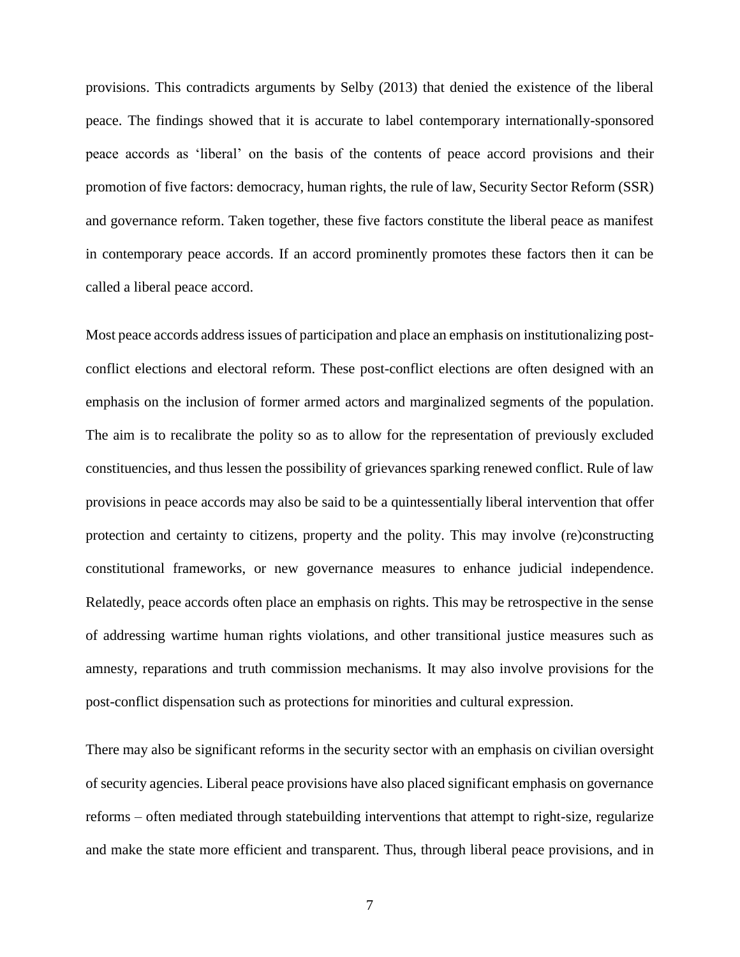provisions. This contradicts arguments by Selby (2013) that denied the existence of the liberal peace. The findings showed that it is accurate to label contemporary internationally-sponsored peace accords as 'liberal' on the basis of the contents of peace accord provisions and their promotion of five factors: democracy, human rights, the rule of law, Security Sector Reform (SSR) and governance reform. Taken together, these five factors constitute the liberal peace as manifest in contemporary peace accords. If an accord prominently promotes these factors then it can be called a liberal peace accord.

Most peace accords address issues of participation and place an emphasis on institutionalizing postconflict elections and electoral reform. These post-conflict elections are often designed with an emphasis on the inclusion of former armed actors and marginalized segments of the population. The aim is to recalibrate the polity so as to allow for the representation of previously excluded constituencies, and thus lessen the possibility of grievances sparking renewed conflict. Rule of law provisions in peace accords may also be said to be a quintessentially liberal intervention that offer protection and certainty to citizens, property and the polity. This may involve (re)constructing constitutional frameworks, or new governance measures to enhance judicial independence. Relatedly, peace accords often place an emphasis on rights. This may be retrospective in the sense of addressing wartime human rights violations, and other transitional justice measures such as amnesty, reparations and truth commission mechanisms. It may also involve provisions for the post-conflict dispensation such as protections for minorities and cultural expression.

There may also be significant reforms in the security sector with an emphasis on civilian oversight of security agencies. Liberal peace provisions have also placed significant emphasis on governance reforms – often mediated through statebuilding interventions that attempt to right-size, regularize and make the state more efficient and transparent. Thus, through liberal peace provisions, and in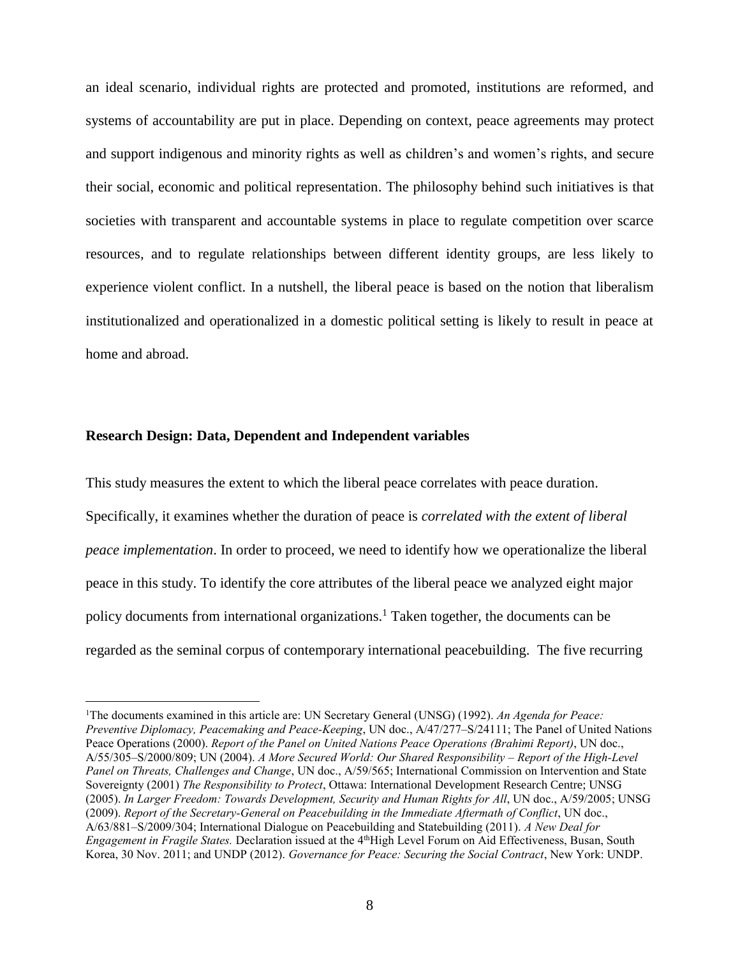an ideal scenario, individual rights are protected and promoted, institutions are reformed, and systems of accountability are put in place. Depending on context, peace agreements may protect and support indigenous and minority rights as well as children's and women's rights, and secure their social, economic and political representation. The philosophy behind such initiatives is that societies with transparent and accountable systems in place to regulate competition over scarce resources, and to regulate relationships between different identity groups, are less likely to experience violent conflict. In a nutshell, the liberal peace is based on the notion that liberalism institutionalized and operationalized in a domestic political setting is likely to result in peace at home and abroad.

#### **Research Design: Data, Dependent and Independent variables**

 $\overline{a}$ 

This study measures the extent to which the liberal peace correlates with peace duration. Specifically, it examines whether the duration of peace is *correlated with the extent of liberal peace implementation*. In order to proceed, we need to identify how we operationalize the liberal peace in this study. To identify the core attributes of the liberal peace we analyzed eight major policy documents from international organizations.<sup>1</sup> Taken together, the documents can be regarded as the seminal corpus of contemporary international peacebuilding. The five recurring

<sup>1</sup>The documents examined in this article are: UN Secretary General (UNSG) (1992). *An Agenda for Peace: Preventive Diplomacy, Peacemaking and Peace-Keeping*, UN doc., A/47/277–S/24111; The Panel of United Nations Peace Operations (2000). *Report of the Panel on United Nations Peace Operations (Brahimi Report)*, UN doc., A/55/305–S/2000/809; UN (2004). *A More Secured World: Our Shared Responsibility – Report of the High-Level Panel on Threats, Challenges and Change*, UN doc., A/59/565; International Commission on Intervention and State Sovereignty (2001) *The Responsibility to Protect*, Ottawa: International Development Research Centre; UNSG (2005). *In Larger Freedom: Towards Development, Security and Human Rights for All*, UN doc., A/59/2005; UNSG (2009). *Report of the Secretary-General on Peacebuilding in the Immediate Aftermath of Conflict*, UN doc., A/63/881–S/2009/304; International Dialogue on Peacebuilding and Statebuilding (2011). *A New Deal for Engagement in Fragile States.* Declaration issued at the 4<sup>th</sup>High Level Forum on Aid Effectiveness, Busan, South Korea, 30 Nov. 2011; and UNDP (2012). *Governance for Peace: Securing the Social Contract*, New York: UNDP.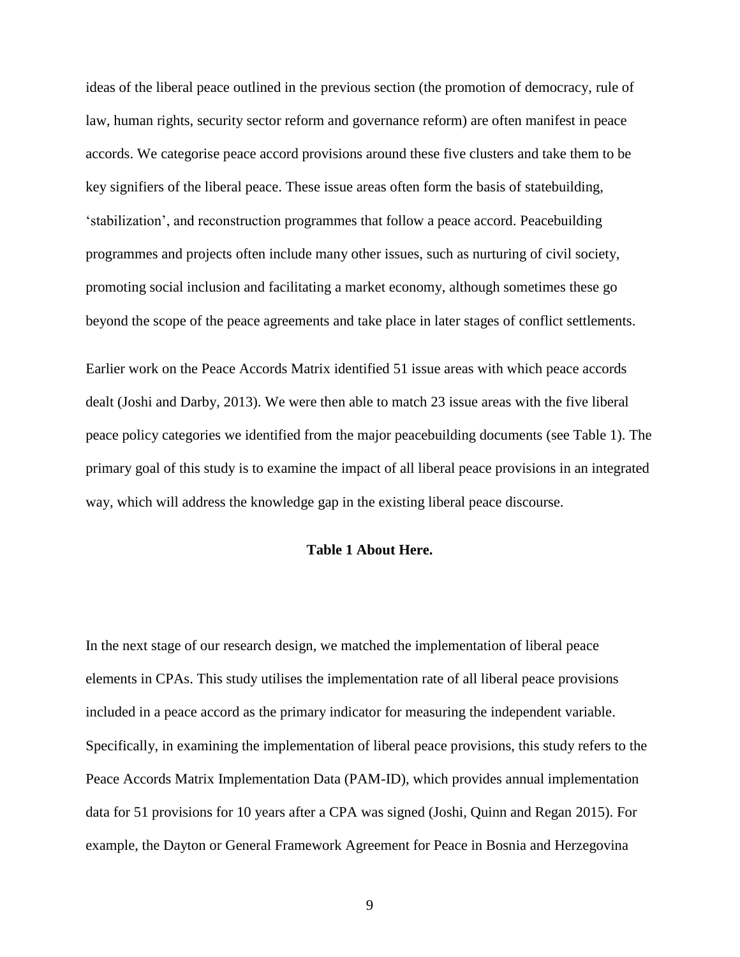ideas of the liberal peace outlined in the previous section (the promotion of democracy, rule of law, human rights, security sector reform and governance reform) are often manifest in peace accords. We categorise peace accord provisions around these five clusters and take them to be key signifiers of the liberal peace. These issue areas often form the basis of statebuilding, 'stabilization', and reconstruction programmes that follow a peace accord. Peacebuilding programmes and projects often include many other issues, such as nurturing of civil society, promoting social inclusion and facilitating a market economy, although sometimes these go beyond the scope of the peace agreements and take place in later stages of conflict settlements.

Earlier work on the Peace Accords Matrix identified 51 issue areas with which peace accords dealt (Joshi and Darby, 2013). We were then able to match 23 issue areas with the five liberal peace policy categories we identified from the major peacebuilding documents (see Table 1). The primary goal of this study is to examine the impact of all liberal peace provisions in an integrated way, which will address the knowledge gap in the existing liberal peace discourse.

#### **Table 1 About Here.**

In the next stage of our research design, we matched the implementation of liberal peace elements in CPAs. This study utilises the implementation rate of all liberal peace provisions included in a peace accord as the primary indicator for measuring the independent variable. Specifically, in examining the implementation of liberal peace provisions, this study refers to the Peace Accords Matrix Implementation Data (PAM-ID), which provides annual implementation data for 51 provisions for 10 years after a CPA was signed (Joshi, Quinn and Regan 2015). For example, the Dayton or General Framework Agreement for Peace in Bosnia and Herzegovina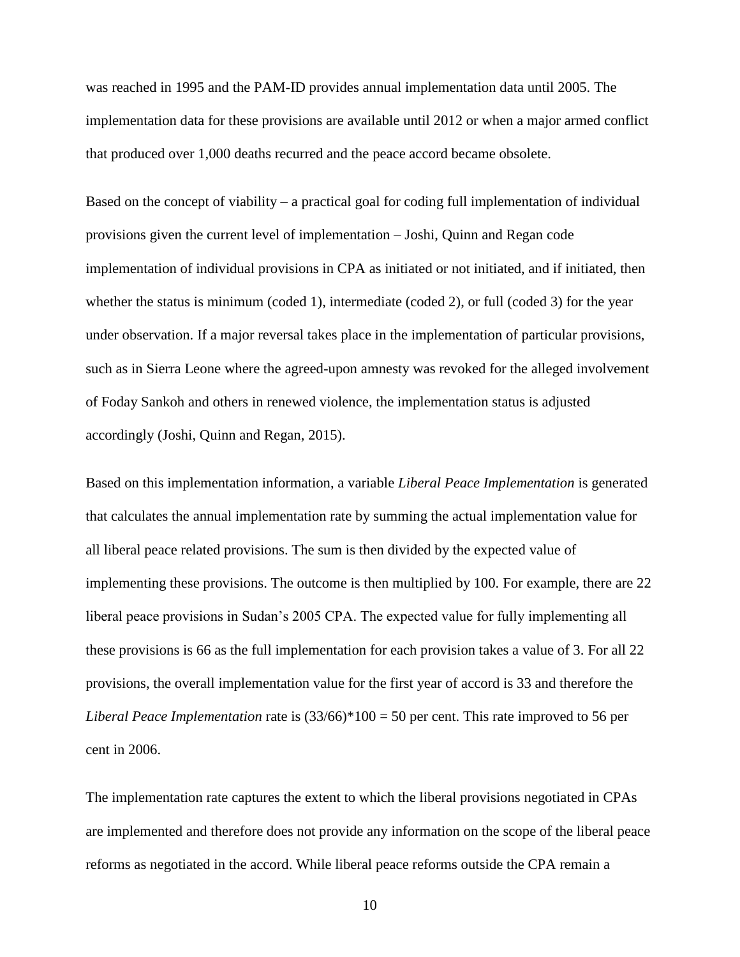was reached in 1995 and the PAM-ID provides annual implementation data until 2005. The implementation data for these provisions are available until 2012 or when a major armed conflict that produced over 1,000 deaths recurred and the peace accord became obsolete.

Based on the concept of viability – a practical goal for coding full implementation of individual provisions given the current level of implementation – Joshi, Quinn and Regan code implementation of individual provisions in CPA as initiated or not initiated, and if initiated, then whether the status is minimum (coded 1), intermediate (coded 2), or full (coded 3) for the year under observation. If a major reversal takes place in the implementation of particular provisions, such as in Sierra Leone where the agreed-upon amnesty was revoked for the alleged involvement of Foday Sankoh and others in renewed violence, the implementation status is adjusted accordingly (Joshi, Quinn and Regan, 2015).

Based on this implementation information, a variable *Liberal Peace Implementation* is generated that calculates the annual implementation rate by summing the actual implementation value for all liberal peace related provisions. The sum is then divided by the expected value of implementing these provisions. The outcome is then multiplied by 100. For example, there are 22 liberal peace provisions in Sudan's 2005 CPA. The expected value for fully implementing all these provisions is 66 as the full implementation for each provision takes a value of 3. For all 22 provisions, the overall implementation value for the first year of accord is 33 and therefore the *Liberal Peace Implementation* rate is (33/66)\*100 = 50 per cent. This rate improved to 56 per cent in 2006.

The implementation rate captures the extent to which the liberal provisions negotiated in CPAs are implemented and therefore does not provide any information on the scope of the liberal peace reforms as negotiated in the accord. While liberal peace reforms outside the CPA remain a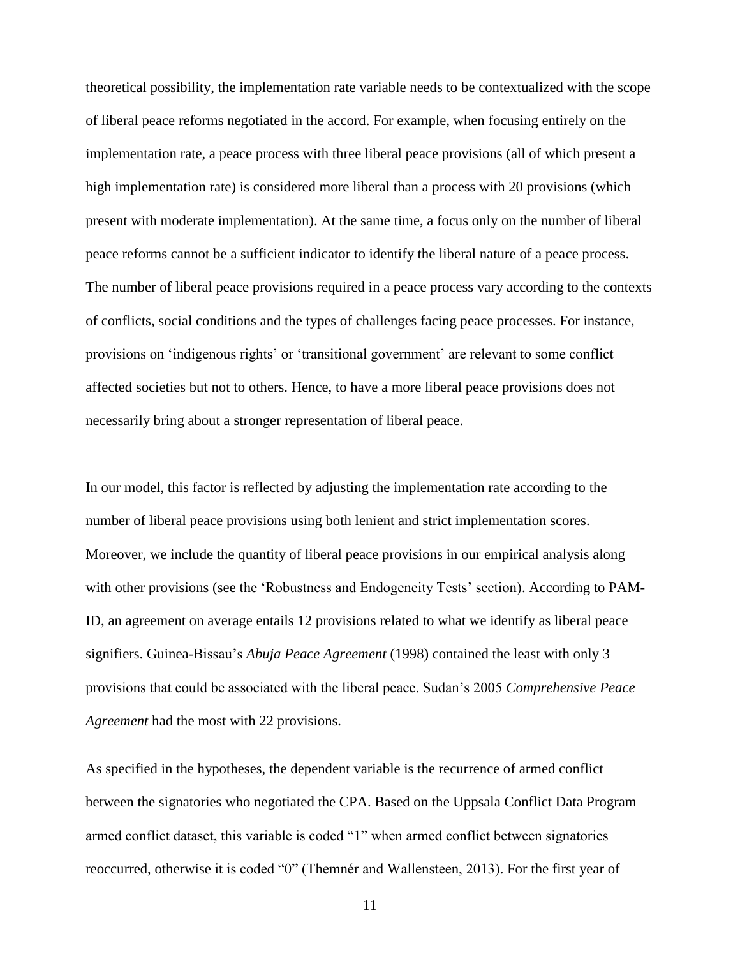theoretical possibility, the implementation rate variable needs to be contextualized with the scope of liberal peace reforms negotiated in the accord. For example, when focusing entirely on the implementation rate, a peace process with three liberal peace provisions (all of which present a high implementation rate) is considered more liberal than a process with 20 provisions (which present with moderate implementation). At the same time, a focus only on the number of liberal peace reforms cannot be a sufficient indicator to identify the liberal nature of a peace process. The number of liberal peace provisions required in a peace process vary according to the contexts of conflicts, social conditions and the types of challenges facing peace processes. For instance, provisions on 'indigenous rights' or 'transitional government' are relevant to some conflict affected societies but not to others. Hence, to have a more liberal peace provisions does not necessarily bring about a stronger representation of liberal peace.

In our model, this factor is reflected by adjusting the implementation rate according to the number of liberal peace provisions using both lenient and strict implementation scores. Moreover, we include the quantity of liberal peace provisions in our empirical analysis along with other provisions (see the 'Robustness and Endogeneity Tests' section). According to PAM-ID, an agreement on average entails 12 provisions related to what we identify as liberal peace signifiers. Guinea-Bissau's *Abuja Peace Agreement* (1998) contained the least with only 3 provisions that could be associated with the liberal peace. Sudan's 2005 *Comprehensive Peace Agreement* had the most with 22 provisions.

As specified in the hypotheses, the dependent variable is the recurrence of armed conflict between the signatories who negotiated the CPA. Based on the Uppsala Conflict Data Program armed conflict dataset, this variable is coded "1" when armed conflict between signatories reoccurred, otherwise it is coded "0" (Themnér and Wallensteen, 2013). For the first year of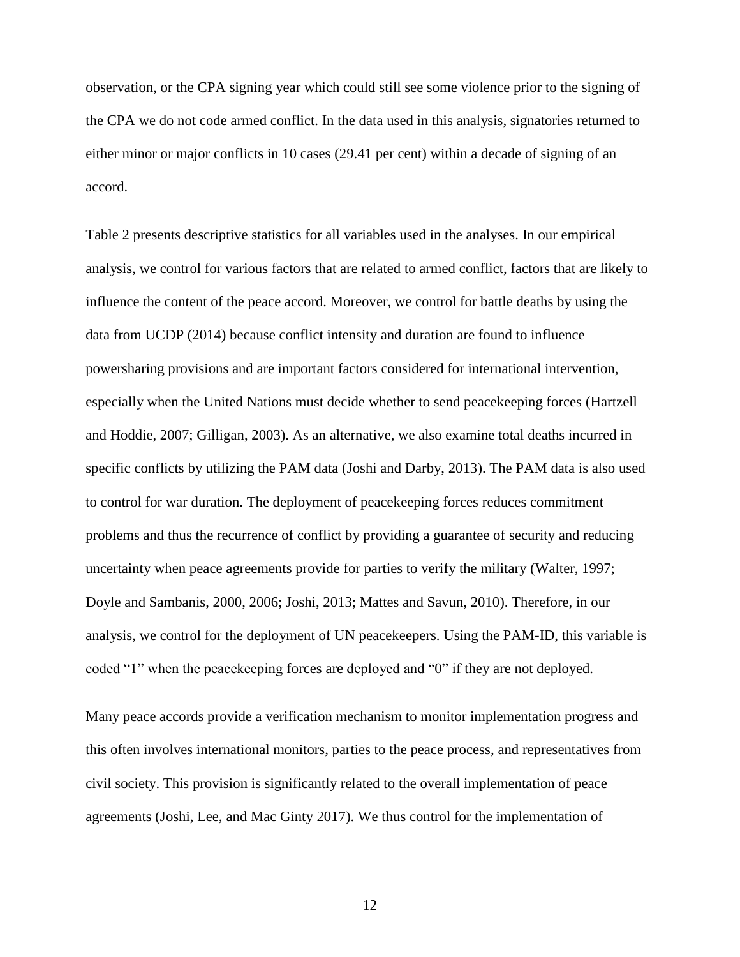observation, or the CPA signing year which could still see some violence prior to the signing of the CPA we do not code armed conflict. In the data used in this analysis, signatories returned to either minor or major conflicts in 10 cases (29.41 per cent) within a decade of signing of an accord.

Table 2 presents descriptive statistics for all variables used in the analyses. In our empirical analysis, we control for various factors that are related to armed conflict, factors that are likely to influence the content of the peace accord. Moreover, we control for battle deaths by using the data from UCDP (2014) because conflict intensity and duration are found to influence powersharing provisions and are important factors considered for international intervention, especially when the United Nations must decide whether to send peacekeeping forces (Hartzell and Hoddie, 2007; Gilligan, 2003). As an alternative, we also examine total deaths incurred in specific conflicts by utilizing the PAM data (Joshi and Darby, 2013). The PAM data is also used to control for war duration. The deployment of peacekeeping forces reduces commitment problems and thus the recurrence of conflict by providing a guarantee of security and reducing uncertainty when peace agreements provide for parties to verify the military (Walter, 1997; Doyle and Sambanis, 2000, 2006; Joshi, 2013; Mattes and Savun, 2010). Therefore, in our analysis, we control for the deployment of UN peacekeepers. Using the PAM-ID, this variable is coded "1" when the peacekeeping forces are deployed and "0" if they are not deployed.

Many peace accords provide a verification mechanism to monitor implementation progress and this often involves international monitors, parties to the peace process, and representatives from civil society. This provision is significantly related to the overall implementation of peace agreements (Joshi, Lee, and Mac Ginty 2017). We thus control for the implementation of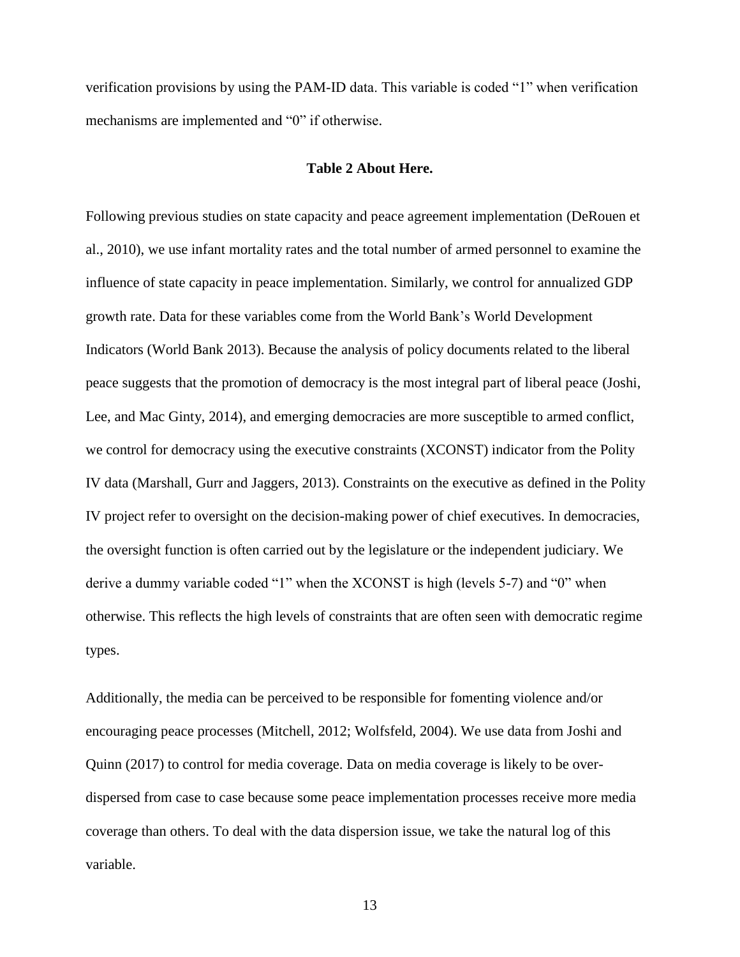verification provisions by using the PAM-ID data. This variable is coded "1" when verification mechanisms are implemented and "0" if otherwise.

### **Table 2 About Here.**

Following previous studies on state capacity and peace agreement implementation (DeRouen et al., 2010), we use infant mortality rates and the total number of armed personnel to examine the influence of state capacity in peace implementation. Similarly, we control for annualized GDP growth rate. Data for these variables come from the World Bank's World Development Indicators (World Bank 2013). Because the analysis of policy documents related to the liberal peace suggests that the promotion of democracy is the most integral part of liberal peace (Joshi, Lee, and Mac Ginty, 2014), and emerging democracies are more susceptible to armed conflict, we control for democracy using the executive constraints (XCONST) indicator from the Polity IV data (Marshall, Gurr and Jaggers, 2013). Constraints on the executive as defined in the Polity IV project refer to oversight on the decision-making power of chief executives. In democracies, the oversight function is often carried out by the legislature or the independent judiciary. We derive a dummy variable coded "1" when the XCONST is high (levels 5-7) and "0" when otherwise. This reflects the high levels of constraints that are often seen with democratic regime types.

Additionally, the media can be perceived to be responsible for fomenting violence and/or encouraging peace processes (Mitchell, 2012; Wolfsfeld, 2004). We use data from Joshi and Quinn (2017) to control for media coverage. Data on media coverage is likely to be overdispersed from case to case because some peace implementation processes receive more media coverage than others. To deal with the data dispersion issue, we take the natural log of this variable.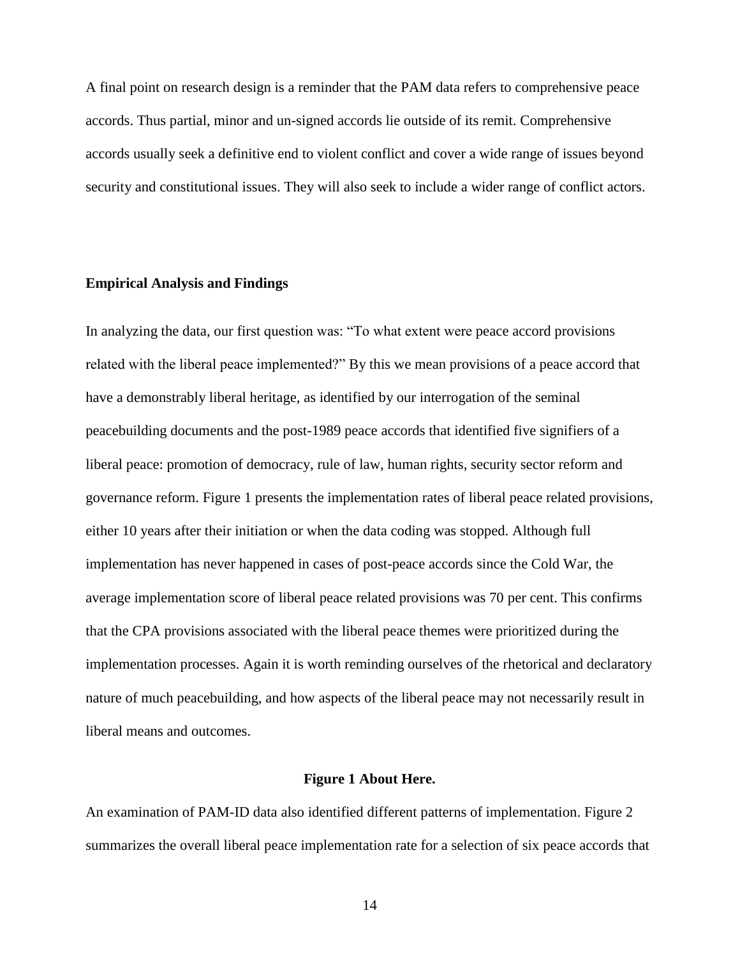A final point on research design is a reminder that the PAM data refers to comprehensive peace accords. Thus partial, minor and un-signed accords lie outside of its remit. Comprehensive accords usually seek a definitive end to violent conflict and cover a wide range of issues beyond security and constitutional issues. They will also seek to include a wider range of conflict actors.

### **Empirical Analysis and Findings**

In analyzing the data, our first question was: "To what extent were peace accord provisions related with the liberal peace implemented?" By this we mean provisions of a peace accord that have a demonstrably liberal heritage, as identified by our interrogation of the seminal peacebuilding documents and the post-1989 peace accords that identified five signifiers of a liberal peace: promotion of democracy, rule of law, human rights, security sector reform and governance reform. Figure 1 presents the implementation rates of liberal peace related provisions, either 10 years after their initiation or when the data coding was stopped. Although full implementation has never happened in cases of post-peace accords since the Cold War, the average implementation score of liberal peace related provisions was 70 per cent. This confirms that the CPA provisions associated with the liberal peace themes were prioritized during the implementation processes. Again it is worth reminding ourselves of the rhetorical and declaratory nature of much peacebuilding, and how aspects of the liberal peace may not necessarily result in liberal means and outcomes.

#### **Figure 1 About Here.**

An examination of PAM-ID data also identified different patterns of implementation. Figure 2 summarizes the overall liberal peace implementation rate for a selection of six peace accords that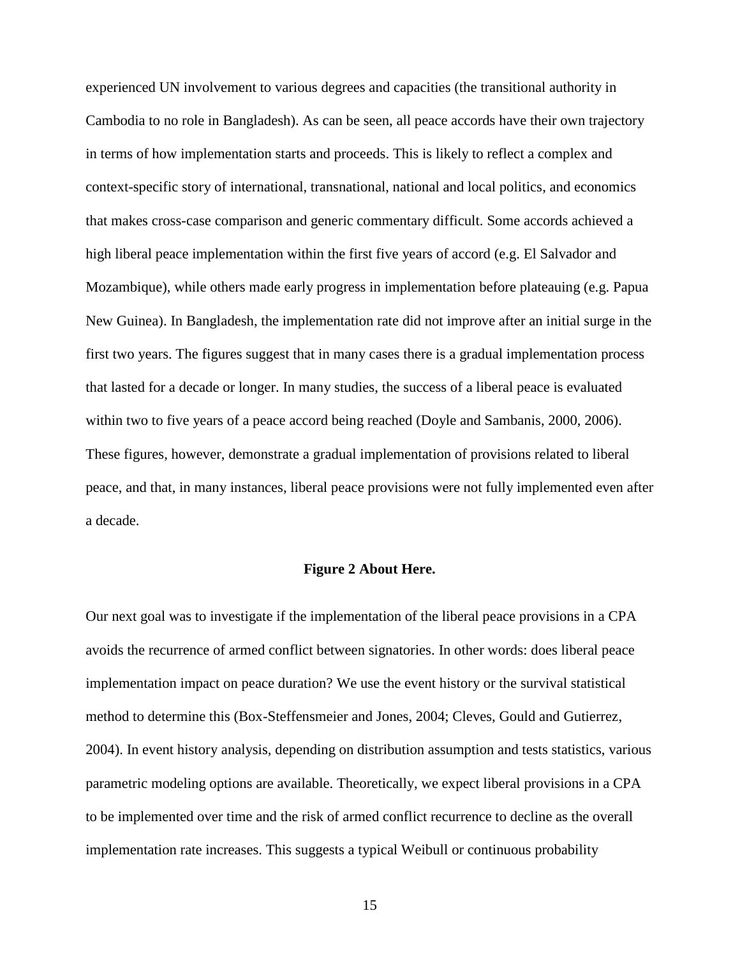experienced UN involvement to various degrees and capacities (the transitional authority in Cambodia to no role in Bangladesh). As can be seen, all peace accords have their own trajectory in terms of how implementation starts and proceeds. This is likely to reflect a complex and context-specific story of international, transnational, national and local politics, and economics that makes cross-case comparison and generic commentary difficult. Some accords achieved a high liberal peace implementation within the first five years of accord (e.g. El Salvador and Mozambique), while others made early progress in implementation before plateauing (e.g. Papua New Guinea). In Bangladesh, the implementation rate did not improve after an initial surge in the first two years. The figures suggest that in many cases there is a gradual implementation process that lasted for a decade or longer. In many studies, the success of a liberal peace is evaluated within two to five years of a peace accord being reached (Doyle and Sambanis, 2000, 2006). These figures, however, demonstrate a gradual implementation of provisions related to liberal peace, and that, in many instances, liberal peace provisions were not fully implemented even after a decade.

#### **Figure 2 About Here.**

Our next goal was to investigate if the implementation of the liberal peace provisions in a CPA avoids the recurrence of armed conflict between signatories. In other words: does liberal peace implementation impact on peace duration? We use the event history or the survival statistical method to determine this (Box-Steffensmeier and Jones, 2004; Cleves, Gould and Gutierrez, 2004). In event history analysis, depending on distribution assumption and tests statistics, various parametric modeling options are available. Theoretically, we expect liberal provisions in a CPA to be implemented over time and the risk of armed conflict recurrence to decline as the overall implementation rate increases. This suggests a typical Weibull or continuous probability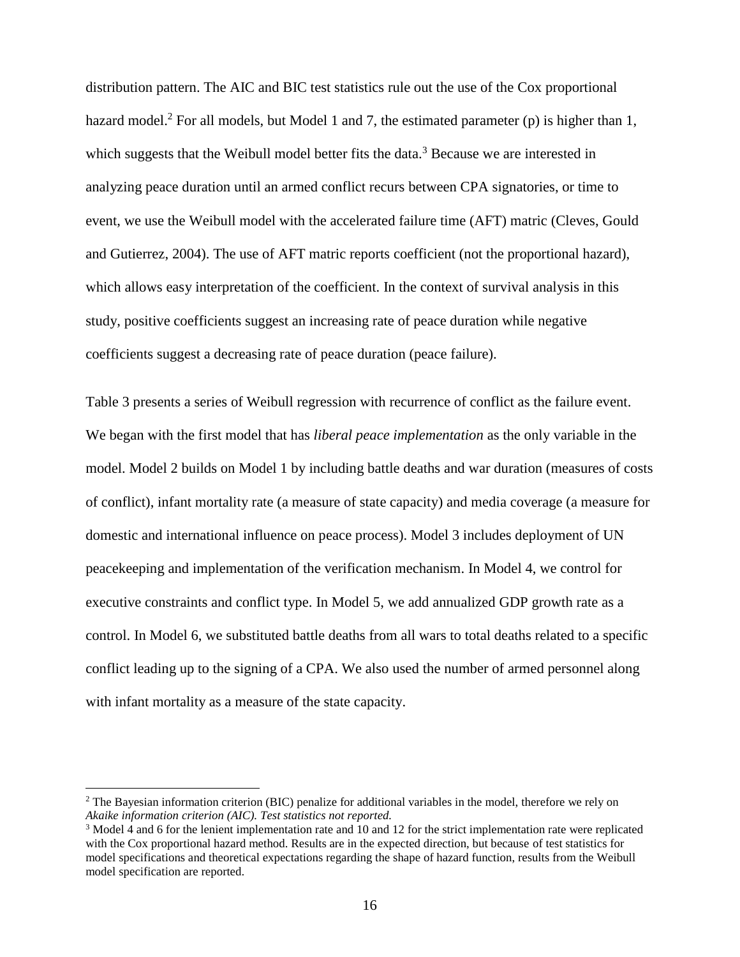distribution pattern. The AIC and BIC test statistics rule out the use of the Cox proportional hazard model.<sup>2</sup> For all models, but Model 1 and 7, the estimated parameter (p) is higher than 1, which suggests that the Weibull model better fits the data.<sup>3</sup> Because we are interested in analyzing peace duration until an armed conflict recurs between CPA signatories, or time to event, we use the Weibull model with the accelerated failure time (AFT) matric (Cleves, Gould and Gutierrez, 2004). The use of AFT matric reports coefficient (not the proportional hazard), which allows easy interpretation of the coefficient. In the context of survival analysis in this study, positive coefficients suggest an increasing rate of peace duration while negative coefficients suggest a decreasing rate of peace duration (peace failure).

Table 3 presents a series of Weibull regression with recurrence of conflict as the failure event. We began with the first model that has *liberal peace implementation* as the only variable in the model. Model 2 builds on Model 1 by including battle deaths and war duration (measures of costs of conflict), infant mortality rate (a measure of state capacity) and media coverage (a measure for domestic and international influence on peace process). Model 3 includes deployment of UN peacekeeping and implementation of the verification mechanism. In Model 4, we control for executive constraints and conflict type. In Model 5, we add annualized GDP growth rate as a control. In Model 6, we substituted battle deaths from all wars to total deaths related to a specific conflict leading up to the signing of a CPA. We also used the number of armed personnel along with infant mortality as a measure of the state capacity.

 $\overline{a}$ 

<sup>&</sup>lt;sup>2</sup> The Bayesian information criterion (BIC) penalize for additional variables in the model, therefore we rely on *Akaike information criterion (AIC). Test statistics not reported.*

<sup>3</sup> Model 4 and 6 for the lenient implementation rate and 10 and 12 for the strict implementation rate were replicated with the Cox proportional hazard method. Results are in the expected direction, but because of test statistics for model specifications and theoretical expectations regarding the shape of hazard function, results from the Weibull model specification are reported.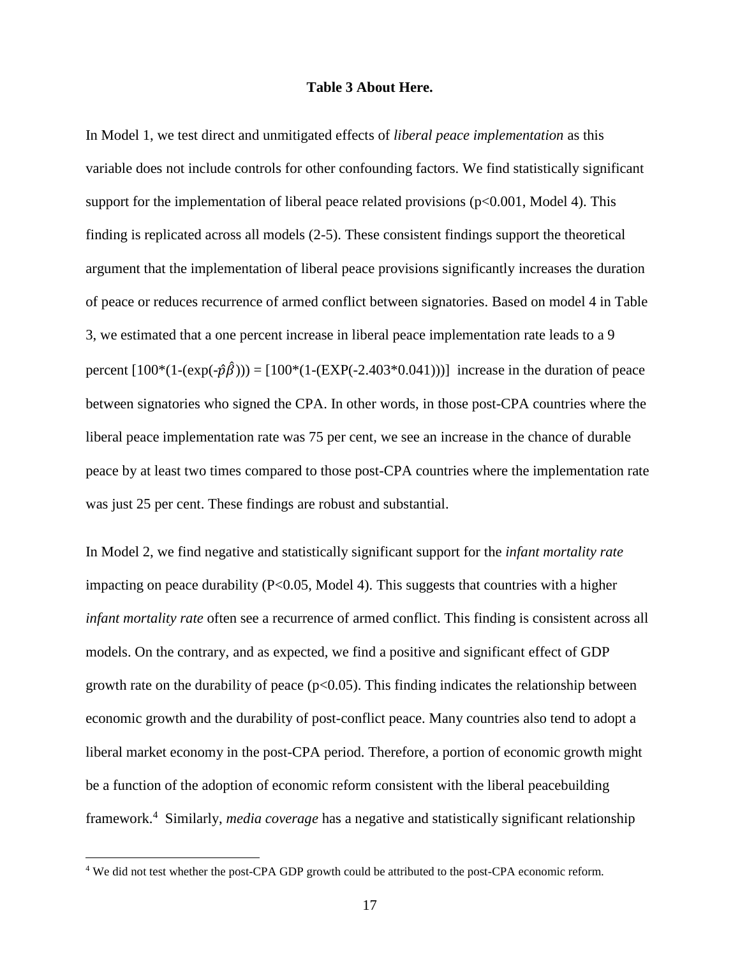### **Table 3 About Here.**

In Model 1, we test direct and unmitigated effects of *liberal peace implementation* as this variable does not include controls for other confounding factors. We find statistically significant support for the implementation of liberal peace related provisions ( $p<0.001$ , Model 4). This finding is replicated across all models (2-5). These consistent findings support the theoretical argument that the implementation of liberal peace provisions significantly increases the duration of peace or reduces recurrence of armed conflict between signatories. Based on model 4 in Table 3, we estimated that a one percent increase in liberal peace implementation rate leads to a 9 percent  $[100*(1-(\exp(-\hat{p}\hat{\beta}))) = [100*(1-(\exp(-2.403*0.041)))]$  increase in the duration of peace between signatories who signed the CPA. In other words, in those post-CPA countries where the liberal peace implementation rate was 75 per cent, we see an increase in the chance of durable peace by at least two times compared to those post-CPA countries where the implementation rate was just 25 per cent. These findings are robust and substantial.

In Model 2, we find negative and statistically significant support for the *infant mortality rate* impacting on peace durability ( $P<0.05$ , Model 4). This suggests that countries with a higher *infant mortality rate* often see a recurrence of armed conflict. This finding is consistent across all models. On the contrary, and as expected, we find a positive and significant effect of GDP growth rate on the durability of peace ( $p<0.05$ ). This finding indicates the relationship between economic growth and the durability of post-conflict peace. Many countries also tend to adopt a liberal market economy in the post-CPA period. Therefore, a portion of economic growth might be a function of the adoption of economic reform consistent with the liberal peacebuilding framework.<sup>4</sup> Similarly, *media coverage* has a negative and statistically significant relationship

 $\overline{a}$ 

<sup>4</sup> We did not test whether the post-CPA GDP growth could be attributed to the post-CPA economic reform.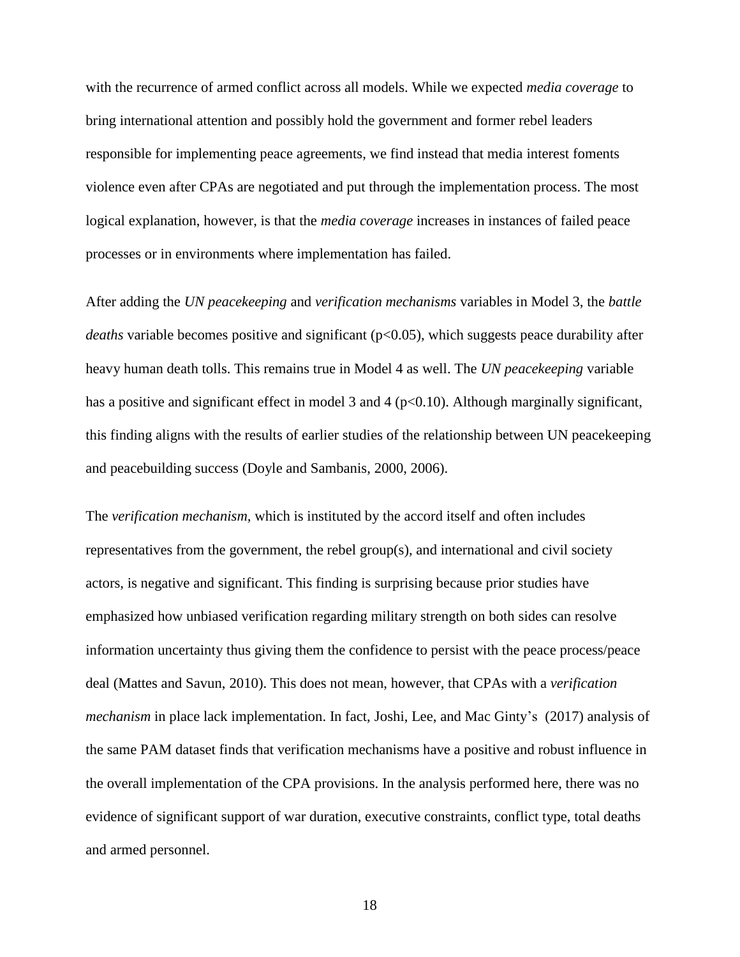with the recurrence of armed conflict across all models. While we expected *media coverage* to bring international attention and possibly hold the government and former rebel leaders responsible for implementing peace agreements, we find instead that media interest foments violence even after CPAs are negotiated and put through the implementation process. The most logical explanation, however, is that the *media coverage* increases in instances of failed peace processes or in environments where implementation has failed.

After adding the *UN peacekeeping* and *verification mechanisms* variables in Model 3, the *battle deaths* variable becomes positive and significant (p<0.05), which suggests peace durability after heavy human death tolls. This remains true in Model 4 as well. The *UN peacekeeping* variable has a positive and significant effect in model 3 and 4 ( $p<0.10$ ). Although marginally significant, this finding aligns with the results of earlier studies of the relationship between UN peacekeeping and peacebuilding success (Doyle and Sambanis, 2000, 2006).

The *verification mechanism,* which is instituted by the accord itself and often includes representatives from the government, the rebel group(s), and international and civil society actors, is negative and significant. This finding is surprising because prior studies have emphasized how unbiased verification regarding military strength on both sides can resolve information uncertainty thus giving them the confidence to persist with the peace process/peace deal (Mattes and Savun, 2010). This does not mean, however, that CPAs with a *verification mechanism* in place lack implementation. In fact, Joshi, Lee, and Mac Ginty's (2017) analysis of the same PAM dataset finds that verification mechanisms have a positive and robust influence in the overall implementation of the CPA provisions. In the analysis performed here, there was no evidence of significant support of war duration, executive constraints, conflict type, total deaths and armed personnel.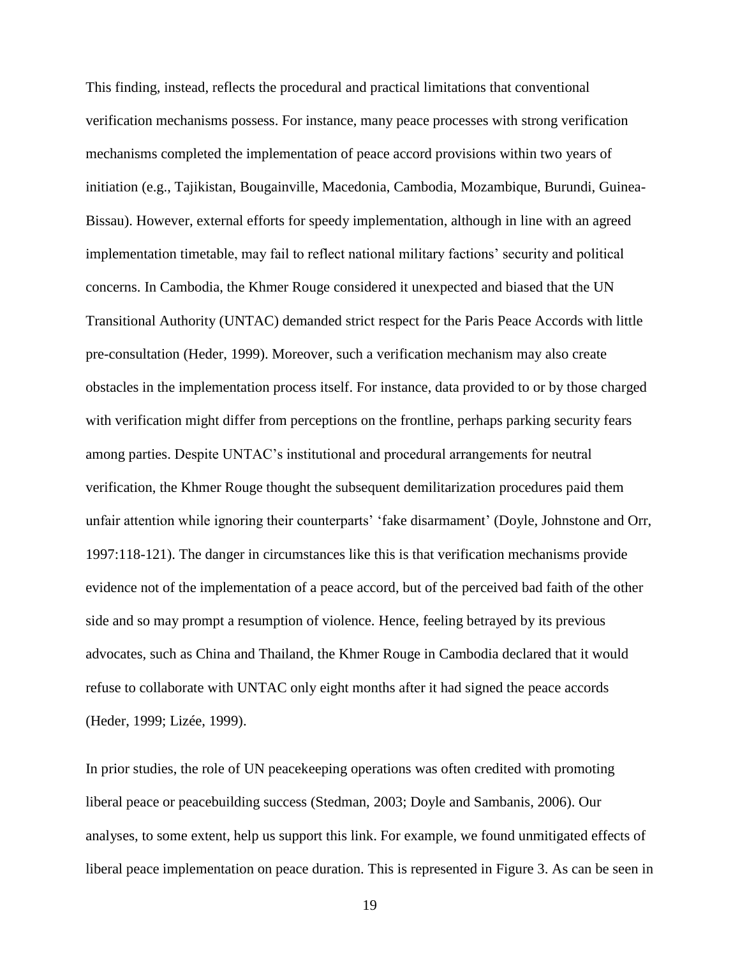This finding, instead, reflects the procedural and practical limitations that conventional verification mechanisms possess. For instance, many peace processes with strong verification mechanisms completed the implementation of peace accord provisions within two years of initiation (e.g., Tajikistan, Bougainville, Macedonia, Cambodia, Mozambique, Burundi, Guinea-Bissau). However, external efforts for speedy implementation, although in line with an agreed implementation timetable, may fail to reflect national military factions' security and political concerns. In Cambodia, the Khmer Rouge considered it unexpected and biased that the UN Transitional Authority (UNTAC) demanded strict respect for the Paris Peace Accords with little pre-consultation (Heder, 1999). Moreover, such a verification mechanism may also create obstacles in the implementation process itself. For instance, data provided to or by those charged with verification might differ from perceptions on the frontline, perhaps parking security fears among parties. Despite UNTAC's institutional and procedural arrangements for neutral verification, the Khmer Rouge thought the subsequent demilitarization procedures paid them unfair attention while ignoring their counterparts' 'fake disarmament' (Doyle, Johnstone and Orr, 1997:118-121). The danger in circumstances like this is that verification mechanisms provide evidence not of the implementation of a peace accord, but of the perceived bad faith of the other side and so may prompt a resumption of violence. Hence, feeling betrayed by its previous advocates, such as China and Thailand, the Khmer Rouge in Cambodia declared that it would refuse to collaborate with UNTAC only eight months after it had signed the peace accords (Heder, 1999; Lizée, 1999).

In prior studies, the role of UN peacekeeping operations was often credited with promoting liberal peace or peacebuilding success (Stedman, 2003; Doyle and Sambanis, 2006). Our analyses, to some extent, help us support this link. For example, we found unmitigated effects of liberal peace implementation on peace duration. This is represented in Figure 3. As can be seen in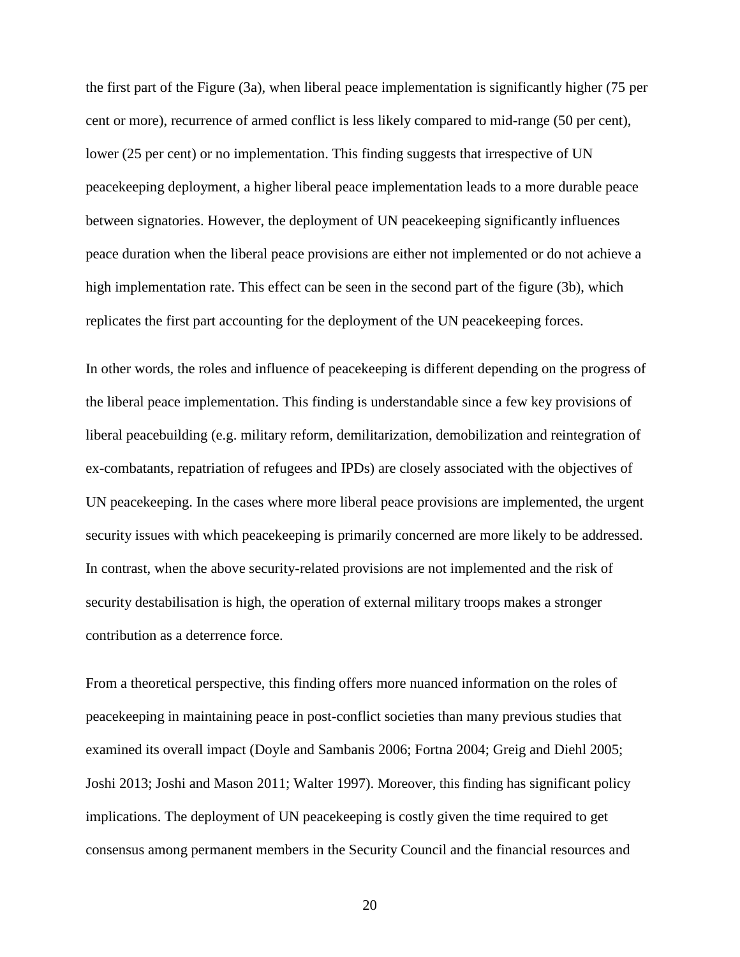the first part of the Figure (3a), when liberal peace implementation is significantly higher (75 per cent or more), recurrence of armed conflict is less likely compared to mid-range (50 per cent), lower (25 per cent) or no implementation. This finding suggests that irrespective of UN peacekeeping deployment, a higher liberal peace implementation leads to a more durable peace between signatories. However, the deployment of UN peacekeeping significantly influences peace duration when the liberal peace provisions are either not implemented or do not achieve a high implementation rate. This effect can be seen in the second part of the figure (3b), which replicates the first part accounting for the deployment of the UN peacekeeping forces.

In other words, the roles and influence of peacekeeping is different depending on the progress of the liberal peace implementation. This finding is understandable since a few key provisions of liberal peacebuilding (e.g. military reform, demilitarization, demobilization and reintegration of ex-combatants, repatriation of refugees and IPDs) are closely associated with the objectives of UN peacekeeping. In the cases where more liberal peace provisions are implemented, the urgent security issues with which peacekeeping is primarily concerned are more likely to be addressed. In contrast, when the above security-related provisions are not implemented and the risk of security destabilisation is high, the operation of external military troops makes a stronger contribution as a deterrence force.

From a theoretical perspective, this finding offers more nuanced information on the roles of peacekeeping in maintaining peace in post-conflict societies than many previous studies that examined its overall impact (Doyle and Sambanis 2006; Fortna 2004; Greig and Diehl 2005; Joshi 2013; Joshi and Mason 2011; Walter 1997). Moreover, this finding has significant policy implications. The deployment of UN peacekeeping is costly given the time required to get consensus among permanent members in the Security Council and the financial resources and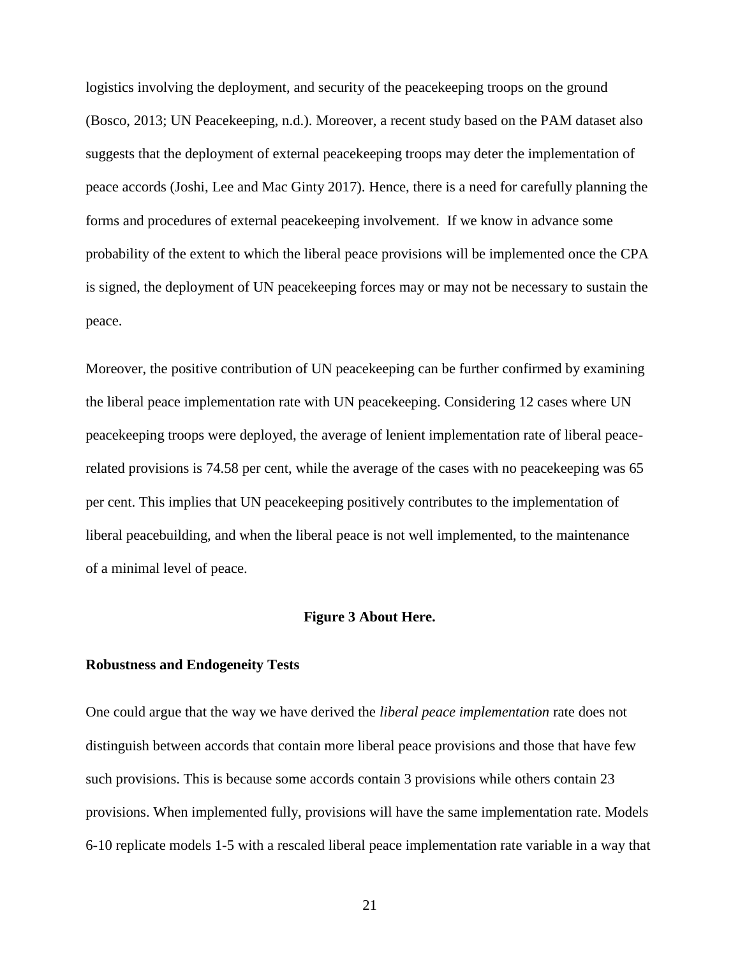logistics involving the deployment, and security of the peacekeeping troops on the ground (Bosco, 2013; UN Peacekeeping, n.d.). Moreover, a recent study based on the PAM dataset also suggests that the deployment of external peacekeeping troops may deter the implementation of peace accords (Joshi, Lee and Mac Ginty 2017). Hence, there is a need for carefully planning the forms and procedures of external peacekeeping involvement. If we know in advance some probability of the extent to which the liberal peace provisions will be implemented once the CPA is signed, the deployment of UN peacekeeping forces may or may not be necessary to sustain the peace.

Moreover, the positive contribution of UN peacekeeping can be further confirmed by examining the liberal peace implementation rate with UN peacekeeping. Considering 12 cases where UN peacekeeping troops were deployed, the average of lenient implementation rate of liberal peacerelated provisions is 74.58 per cent, while the average of the cases with no peacekeeping was 65 per cent. This implies that UN peacekeeping positively contributes to the implementation of liberal peacebuilding, and when the liberal peace is not well implemented, to the maintenance of a minimal level of peace.

#### **Figure 3 About Here.**

### **Robustness and Endogeneity Tests**

One could argue that the way we have derived the *liberal peace implementation* rate does not distinguish between accords that contain more liberal peace provisions and those that have few such provisions. This is because some accords contain 3 provisions while others contain 23 provisions. When implemented fully, provisions will have the same implementation rate. Models 6-10 replicate models 1-5 with a rescaled liberal peace implementation rate variable in a way that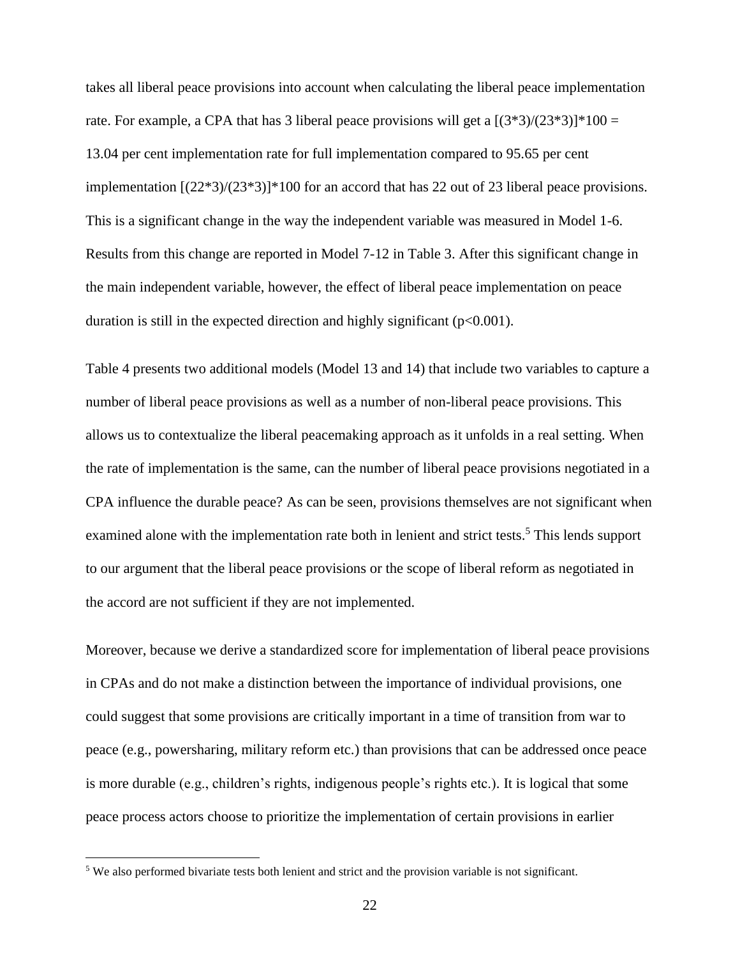takes all liberal peace provisions into account when calculating the liberal peace implementation rate. For example, a CPA that has 3 liberal peace provisions will get a  $[(3*3)/(23*3)]*100 =$ 13.04 per cent implementation rate for full implementation compared to 95.65 per cent implementation [(22\*3)/(23\*3)]\*100 for an accord that has 22 out of 23 liberal peace provisions. This is a significant change in the way the independent variable was measured in Model 1-6. Results from this change are reported in Model 7-12 in Table 3. After this significant change in the main independent variable, however, the effect of liberal peace implementation on peace duration is still in the expected direction and highly significant ( $p<0.001$ ).

Table 4 presents two additional models (Model 13 and 14) that include two variables to capture a number of liberal peace provisions as well as a number of non-liberal peace provisions. This allows us to contextualize the liberal peacemaking approach as it unfolds in a real setting. When the rate of implementation is the same, can the number of liberal peace provisions negotiated in a CPA influence the durable peace? As can be seen, provisions themselves are not significant when examined alone with the implementation rate both in lenient and strict tests.<sup>5</sup> This lends support to our argument that the liberal peace provisions or the scope of liberal reform as negotiated in the accord are not sufficient if they are not implemented.

Moreover, because we derive a standardized score for implementation of liberal peace provisions in CPAs and do not make a distinction between the importance of individual provisions, one could suggest that some provisions are critically important in a time of transition from war to peace (e.g., powersharing, military reform etc.) than provisions that can be addressed once peace is more durable (e.g., children's rights, indigenous people's rights etc.). It is logical that some peace process actors choose to prioritize the implementation of certain provisions in earlier

 $\overline{a}$ 

<sup>&</sup>lt;sup>5</sup> We also performed bivariate tests both lenient and strict and the provision variable is not significant.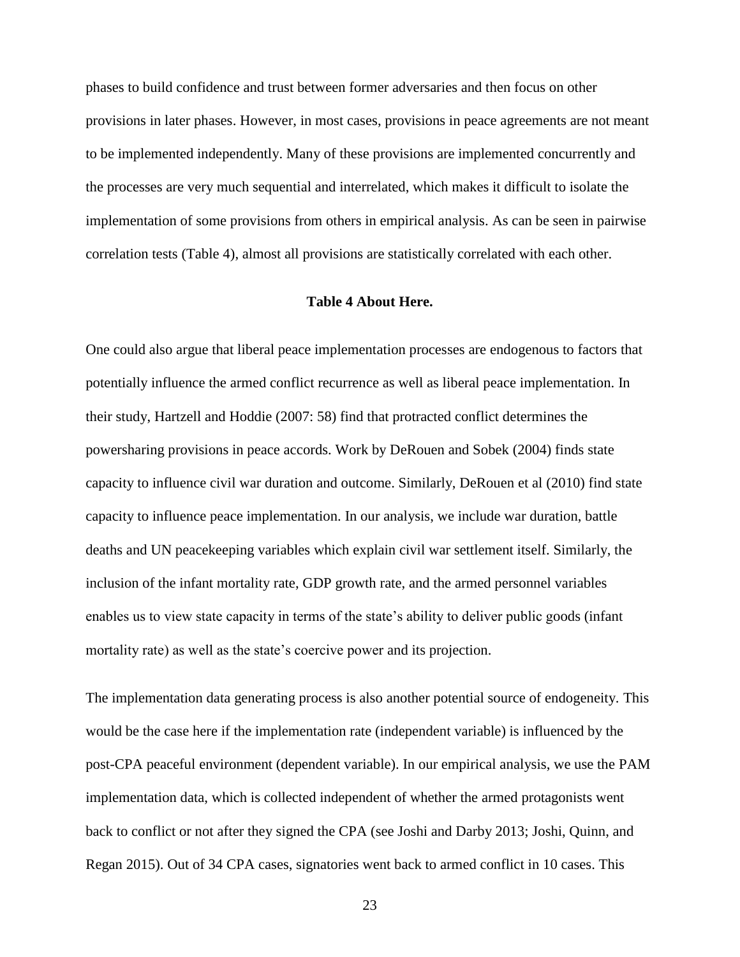phases to build confidence and trust between former adversaries and then focus on other provisions in later phases. However, in most cases, provisions in peace agreements are not meant to be implemented independently. Many of these provisions are implemented concurrently and the processes are very much sequential and interrelated, which makes it difficult to isolate the implementation of some provisions from others in empirical analysis. As can be seen in pairwise correlation tests (Table 4), almost all provisions are statistically correlated with each other.

#### **Table 4 About Here.**

One could also argue that liberal peace implementation processes are endogenous to factors that potentially influence the armed conflict recurrence as well as liberal peace implementation. In their study, Hartzell and Hoddie (2007: 58) find that protracted conflict determines the powersharing provisions in peace accords. Work by DeRouen and Sobek (2004) finds state capacity to influence civil war duration and outcome. Similarly, DeRouen et al (2010) find state capacity to influence peace implementation. In our analysis, we include war duration, battle deaths and UN peacekeeping variables which explain civil war settlement itself. Similarly, the inclusion of the infant mortality rate, GDP growth rate, and the armed personnel variables enables us to view state capacity in terms of the state's ability to deliver public goods (infant mortality rate) as well as the state's coercive power and its projection.

The implementation data generating process is also another potential source of endogeneity. This would be the case here if the implementation rate (independent variable) is influenced by the post-CPA peaceful environment (dependent variable). In our empirical analysis, we use the PAM implementation data, which is collected independent of whether the armed protagonists went back to conflict or not after they signed the CPA (see Joshi and Darby 2013; Joshi, Quinn, and Regan 2015). Out of 34 CPA cases, signatories went back to armed conflict in 10 cases. This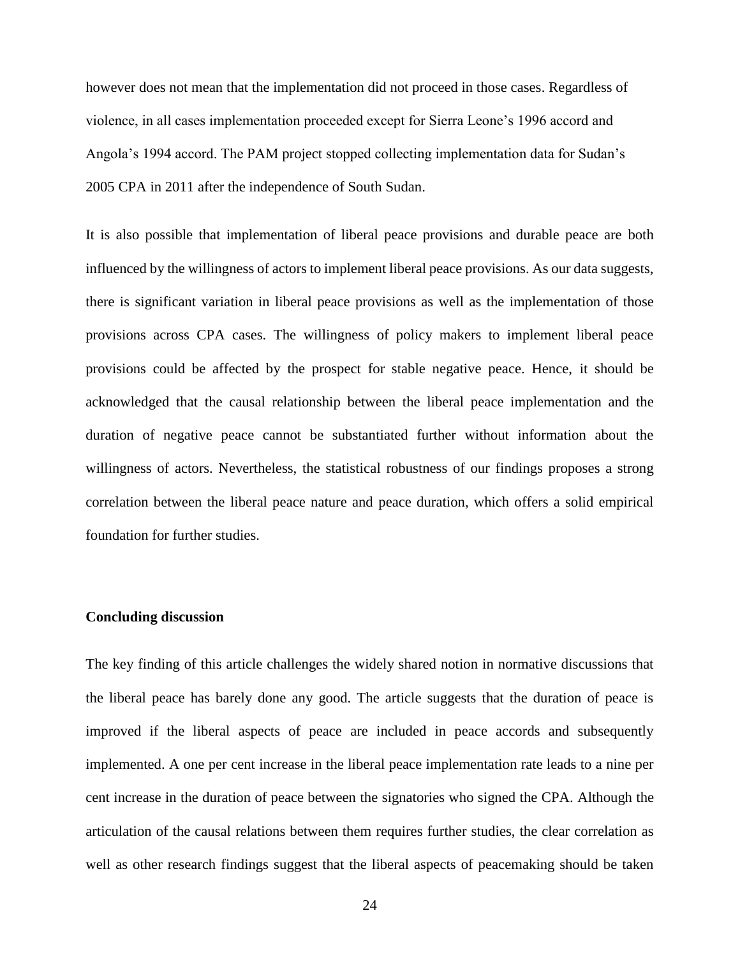however does not mean that the implementation did not proceed in those cases. Regardless of violence, in all cases implementation proceeded except for Sierra Leone's 1996 accord and Angola's 1994 accord. The PAM project stopped collecting implementation data for Sudan's 2005 CPA in 2011 after the independence of South Sudan.

It is also possible that implementation of liberal peace provisions and durable peace are both influenced by the willingness of actors to implement liberal peace provisions. As our data suggests, there is significant variation in liberal peace provisions as well as the implementation of those provisions across CPA cases. The willingness of policy makers to implement liberal peace provisions could be affected by the prospect for stable negative peace. Hence, it should be acknowledged that the causal relationship between the liberal peace implementation and the duration of negative peace cannot be substantiated further without information about the willingness of actors. Nevertheless, the statistical robustness of our findings proposes a strong correlation between the liberal peace nature and peace duration, which offers a solid empirical foundation for further studies.

#### **Concluding discussion**

The key finding of this article challenges the widely shared notion in normative discussions that the liberal peace has barely done any good. The article suggests that the duration of peace is improved if the liberal aspects of peace are included in peace accords and subsequently implemented. A one per cent increase in the liberal peace implementation rate leads to a nine per cent increase in the duration of peace between the signatories who signed the CPA. Although the articulation of the causal relations between them requires further studies, the clear correlation as well as other research findings suggest that the liberal aspects of peacemaking should be taken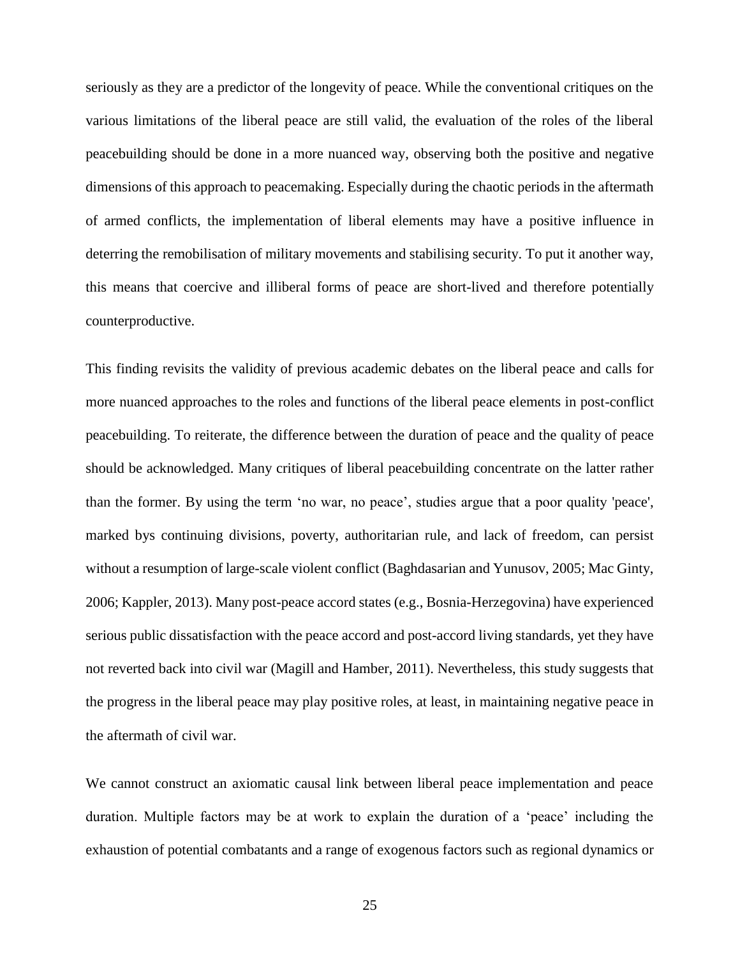seriously as they are a predictor of the longevity of peace. While the conventional critiques on the various limitations of the liberal peace are still valid, the evaluation of the roles of the liberal peacebuilding should be done in a more nuanced way, observing both the positive and negative dimensions of this approach to peacemaking. Especially during the chaotic periods in the aftermath of armed conflicts, the implementation of liberal elements may have a positive influence in deterring the remobilisation of military movements and stabilising security. To put it another way, this means that coercive and illiberal forms of peace are short-lived and therefore potentially counterproductive.

This finding revisits the validity of previous academic debates on the liberal peace and calls for more nuanced approaches to the roles and functions of the liberal peace elements in post-conflict peacebuilding. To reiterate, the difference between the duration of peace and the quality of peace should be acknowledged. Many critiques of liberal peacebuilding concentrate on the latter rather than the former. By using the term 'no war, no peace', studies argue that a poor quality 'peace', marked bys continuing divisions, poverty, authoritarian rule, and lack of freedom, can persist without a resumption of large-scale violent conflict (Baghdasarian and Yunusov, 2005; Mac Ginty, 2006; Kappler, 2013). Many post-peace accord states (e.g., Bosnia-Herzegovina) have experienced serious public dissatisfaction with the peace accord and post-accord living standards, yet they have not reverted back into civil war (Magill and Hamber, 2011). Nevertheless, this study suggests that the progress in the liberal peace may play positive roles, at least, in maintaining negative peace in the aftermath of civil war.

We cannot construct an axiomatic causal link between liberal peace implementation and peace duration. Multiple factors may be at work to explain the duration of a 'peace' including the exhaustion of potential combatants and a range of exogenous factors such as regional dynamics or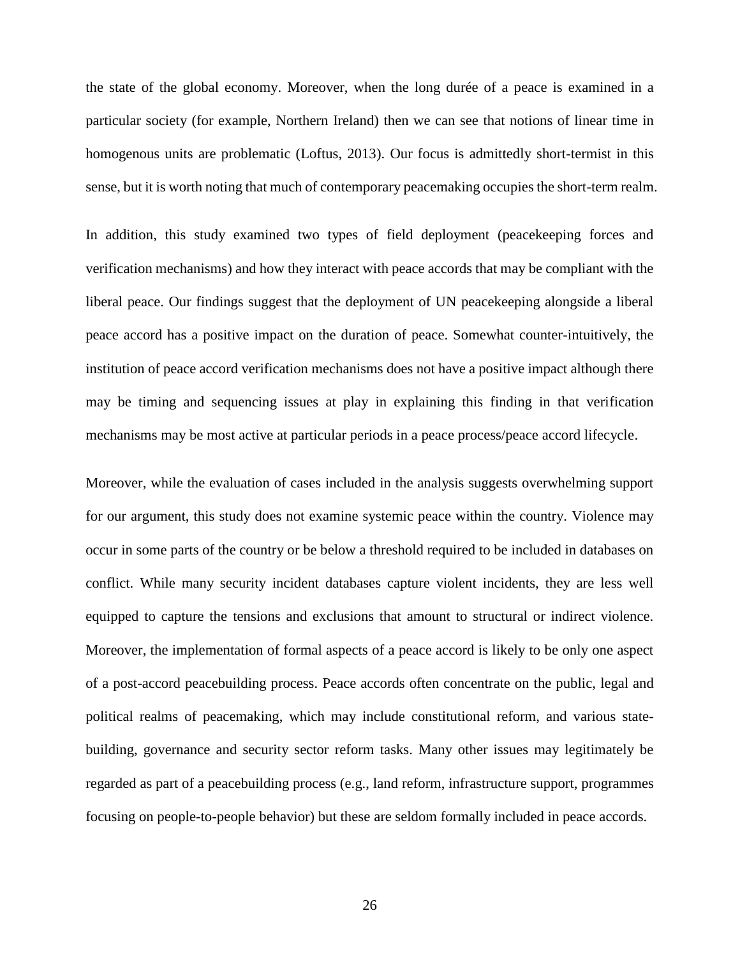the state of the global economy. Moreover, when the long durée of a peace is examined in a particular society (for example, Northern Ireland) then we can see that notions of linear time in homogenous units are problematic (Loftus, 2013). Our focus is admittedly short-termist in this sense, but it is worth noting that much of contemporary peacemaking occupies the short-term realm.

In addition, this study examined two types of field deployment (peacekeeping forces and verification mechanisms) and how they interact with peace accords that may be compliant with the liberal peace. Our findings suggest that the deployment of UN peacekeeping alongside a liberal peace accord has a positive impact on the duration of peace. Somewhat counter-intuitively, the institution of peace accord verification mechanisms does not have a positive impact although there may be timing and sequencing issues at play in explaining this finding in that verification mechanisms may be most active at particular periods in a peace process/peace accord lifecycle.

Moreover, while the evaluation of cases included in the analysis suggests overwhelming support for our argument, this study does not examine systemic peace within the country. Violence may occur in some parts of the country or be below a threshold required to be included in databases on conflict. While many security incident databases capture violent incidents, they are less well equipped to capture the tensions and exclusions that amount to structural or indirect violence. Moreover, the implementation of formal aspects of a peace accord is likely to be only one aspect of a post-accord peacebuilding process. Peace accords often concentrate on the public, legal and political realms of peacemaking, which may include constitutional reform, and various statebuilding, governance and security sector reform tasks. Many other issues may legitimately be regarded as part of a peacebuilding process (e.g., land reform, infrastructure support, programmes focusing on people-to-people behavior) but these are seldom formally included in peace accords.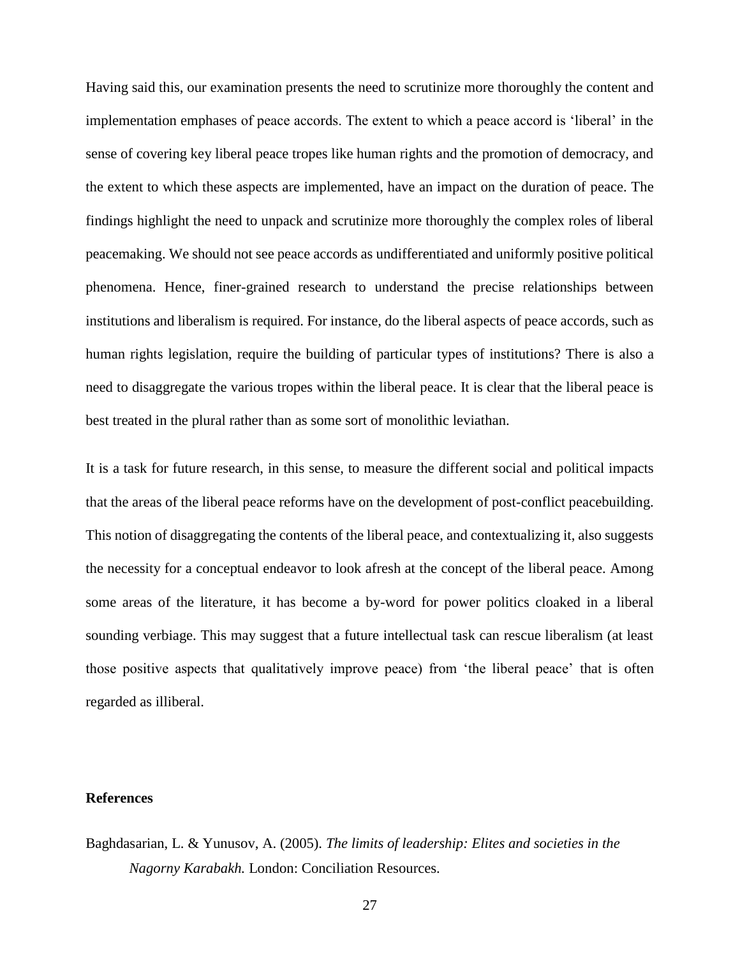Having said this, our examination presents the need to scrutinize more thoroughly the content and implementation emphases of peace accords. The extent to which a peace accord is 'liberal' in the sense of covering key liberal peace tropes like human rights and the promotion of democracy, and the extent to which these aspects are implemented, have an impact on the duration of peace. The findings highlight the need to unpack and scrutinize more thoroughly the complex roles of liberal peacemaking. We should not see peace accords as undifferentiated and uniformly positive political phenomena. Hence, finer-grained research to understand the precise relationships between institutions and liberalism is required. For instance, do the liberal aspects of peace accords, such as human rights legislation, require the building of particular types of institutions? There is also a need to disaggregate the various tropes within the liberal peace. It is clear that the liberal peace is best treated in the plural rather than as some sort of monolithic leviathan.

It is a task for future research, in this sense, to measure the different social and political impacts that the areas of the liberal peace reforms have on the development of post-conflict peacebuilding. This notion of disaggregating the contents of the liberal peace, and contextualizing it, also suggests the necessity for a conceptual endeavor to look afresh at the concept of the liberal peace. Among some areas of the literature, it has become a by-word for power politics cloaked in a liberal sounding verbiage. This may suggest that a future intellectual task can rescue liberalism (at least those positive aspects that qualitatively improve peace) from 'the liberal peace' that is often regarded as illiberal.

### **References**

Baghdasarian, L. & Yunusov, A. (2005). *The limits of leadership: Elites and societies in the Nagorny Karabakh.* London: Conciliation Resources.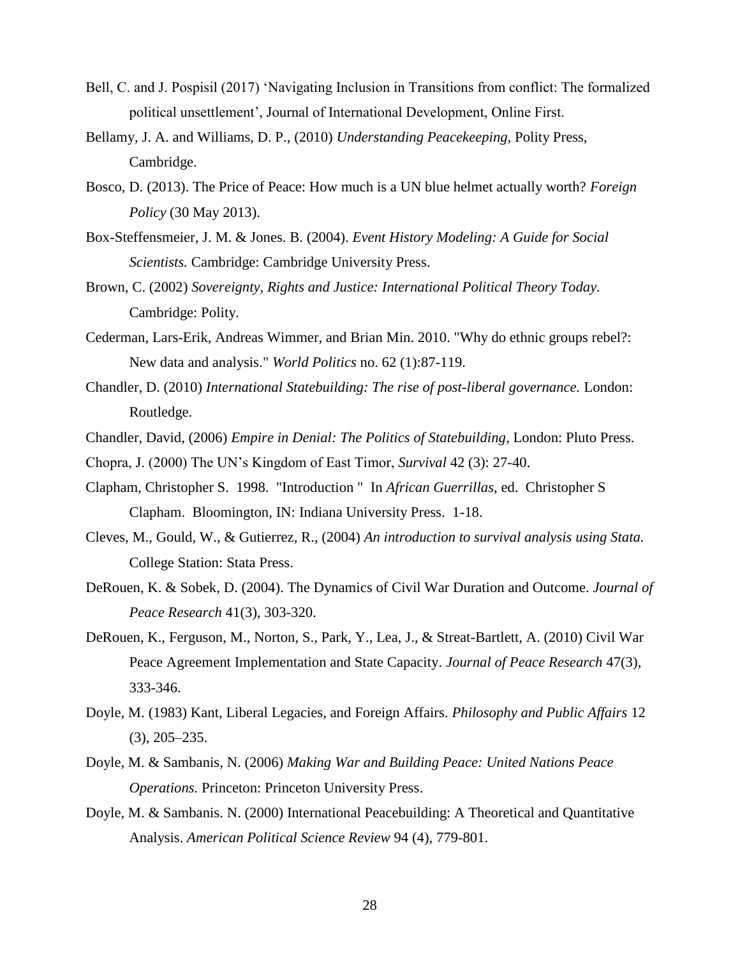- Bell, C. and J. Pospisil (2017) 'Navigating Inclusion in Transitions from conflict: The formalized political unsettlement', Journal of International Development, Online First.
- Bellamy, J. A. and Williams, D. P., (2010) *Understanding Peacekeeping,* Polity Press, Cambridge.
- Bosco, D. (2013). The Price of Peace: How much is a UN blue helmet actually worth? *Foreign Policy* (30 May 2013).
- Box-Steffensmeier, J. M. & Jones. B. (2004). *Event History Modeling: A Guide for Social Scientists.* Cambridge: Cambridge University Press.
- Brown, C. (2002) *Sovereignty, Rights and Justice: International Political Theory Today.*  Cambridge: Polity.
- Cederman, Lars-Erik, Andreas Wimmer, and Brian Min. 2010. "Why do ethnic groups rebel?: New data and analysis." *World Politics* no. 62 (1):87-119.
- Chandler, D. (2010) *International Statebuilding: The rise of post-liberal governance.* London: Routledge.
- Chandler, David, (2006) *Empire in Denial: The Politics of Statebuilding*, London: Pluto Press.
- Chopra, J. (2000) The UN's Kingdom of East Timor, *Survival* 42 (3): 27-40.
- Clapham, Christopher S. 1998. "Introduction " In *African Guerrillas*, ed. Christopher S Clapham. Bloomington, IN: Indiana University Press. 1-18.
- Cleves, M., Gould, W., & Gutierrez, R., (2004) *An introduction to survival analysis using Stata.* College Station: Stata Press.
- DeRouen, K. & Sobek, D. (2004). The Dynamics of Civil War Duration and Outcome. *Journal of Peace Research* 41(3), 303-320.
- DeRouen, K., Ferguson, M., Norton, S., Park, Y., Lea, J., & Streat-Bartlett, A. (2010) Civil War Peace Agreement Implementation and State Capacity. *Journal of Peace Research* 47(3), 333-346.
- Doyle, M. (1983) Kant, Liberal Legacies, and Foreign Affairs. *Philosophy and Public Affairs* 12 (3), 205–235.
- Doyle, M. & Sambanis, N. (2006) *Making War and Building Peace: United Nations Peace Operations.* Princeton: Princeton University Press.
- Doyle, M. & Sambanis. N. (2000) International Peacebuilding: A Theoretical and Quantitative Analysis. *American Political Science Review* 94 (4), 779-801.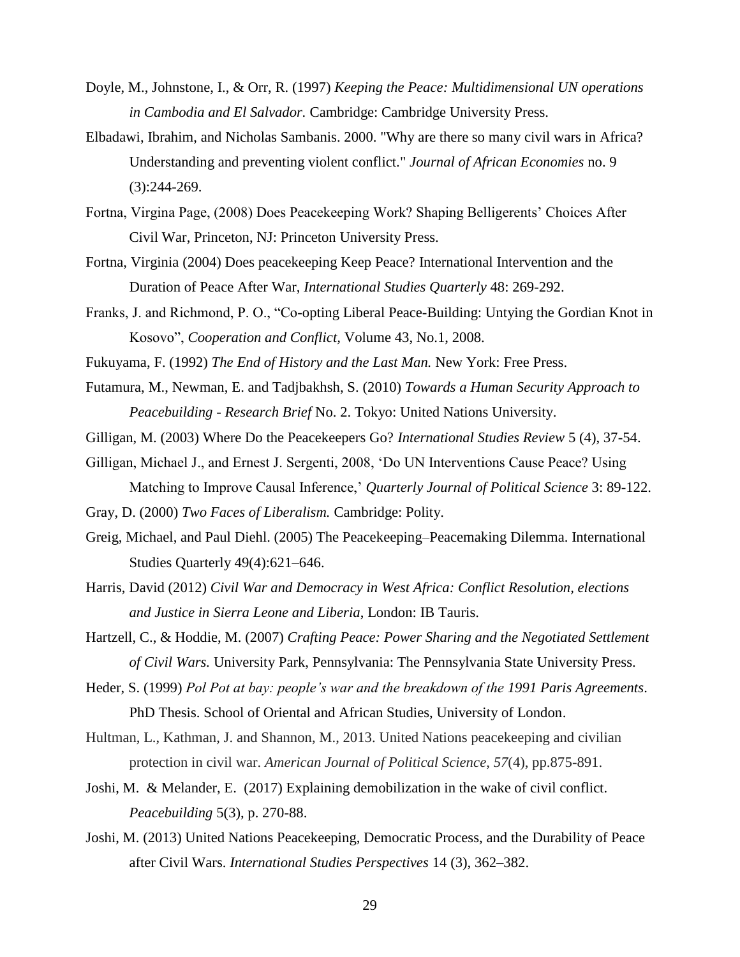- Doyle, M., Johnstone, I., & Orr, R. (1997) *Keeping the Peace: Multidimensional UN operations in Cambodia and El Salvador.* Cambridge: Cambridge University Press.
- Elbadawi, Ibrahim, and Nicholas Sambanis. 2000. "Why are there so many civil wars in Africa? Understanding and preventing violent conflict." *Journal of African Economies* no. 9 (3):244-269.
- Fortna, Virgina Page, (2008) Does Peacekeeping Work? Shaping Belligerents' Choices After Civil War, Princeton, NJ: Princeton University Press.
- Fortna, Virginia (2004) Does peacekeeping Keep Peace? International Intervention and the Duration of Peace After War, *International Studies Quarterly* 48: 269-292.
- Franks, J. and Richmond, P. O., "Co-opting Liberal Peace-Building: Untying the Gordian Knot in Kosovo", *Cooperation and Conflict,* Volume 43, No.1, 2008.
- Fukuyama, F. (1992) *The End of History and the Last Man.* New York: Free Press.
- Futamura, M., Newman, E. and Tadjbakhsh, S. (2010) *Towards a Human Security Approach to Peacebuilding - Research Brief* No. 2. Tokyo: United Nations University.
- Gilligan, M. (2003) Where Do the Peacekeepers Go? *International Studies Review* 5 (4), 37-54.
- Gilligan, Michael J., and Ernest J. Sergenti, 2008, 'Do UN Interventions Cause Peace? Using Matching to Improve Causal Inference,' *Quarterly Journal of Political Science* 3: 89-122.
- Gray, D. (2000) *Two Faces of Liberalism.* Cambridge: Polity.
- Greig, Michael, and Paul Diehl. (2005) The Peacekeeping–Peacemaking Dilemma. International Studies Quarterly 49(4):621–646.
- Harris, David (2012) *Civil War and Democracy in West Africa: Conflict Resolution, elections and Justice in Sierra Leone and Liberia*, London: IB Tauris.
- Hartzell, C., & Hoddie, M. (2007) *Crafting Peace: Power Sharing and the Negotiated Settlement of Civil Wars.* University Park, Pennsylvania: The Pennsylvania State University Press.
- Heder, S. (1999) *Pol Pot at bay: people's war and the breakdown of the 1991 Paris Agreements*. PhD Thesis. School of Oriental and African Studies, University of London.
- Hultman, L., Kathman, J. and Shannon, M., 2013. United Nations peacekeeping and civilian protection in civil war. *American Journal of Political Science*, *57*(4), pp.875-891.
- Joshi, M. & Melander, E. (2017) Explaining demobilization in the wake of civil conflict. *Peacebuilding* 5(3), p. 270-88.
- Joshi, M. (2013) United Nations Peacekeeping, Democratic Process, and the Durability of Peace after Civil Wars. *International Studies Perspectives* 14 (3), 362–382.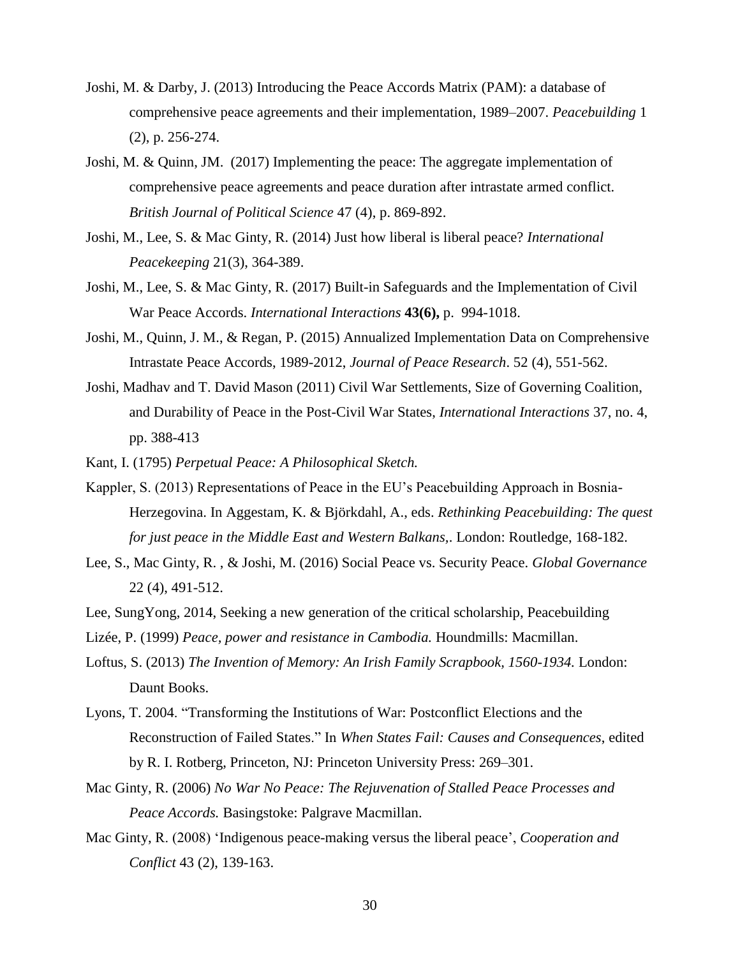- Joshi, M. & Darby, J. (2013) Introducing the Peace Accords Matrix (PAM): a database of comprehensive peace agreements and their implementation, 1989–2007. *Peacebuilding* 1 (2), p. 256-274.
- Joshi, M. & Quinn, JM. (2017) Implementing the peace: The aggregate implementation of comprehensive peace agreements and peace duration after intrastate armed conflict. *British Journal of Political Science* 47 (4), p. 869-892.
- Joshi, M., Lee, S. & Mac Ginty, R. (2014) Just how liberal is liberal peace? *International Peacekeeping* 21(3), 364-389.
- Joshi, M., Lee, S. & Mac Ginty, R. (2017) Built-in Safeguards and the Implementation of Civil War Peace Accords. *International Interactions* **43(6),** p. 994-1018.
- Joshi, M., Quinn, J. M., & Regan, P. (2015) Annualized Implementation Data on Comprehensive Intrastate Peace Accords, 1989-2012, *Journal of Peace Research*. 52 (4), 551-562.
- Joshi, Madhav and T. David Mason (2011) Civil War Settlements, Size of Governing Coalition, and Durability of Peace in the Post-Civil War States, *International Interactions* 37, no. 4, pp. 388-413
- Kant, I. (1795) *Perpetual Peace: A Philosophical Sketch.*
- Kappler, S. (2013) Representations of Peace in the EU's Peacebuilding Approach in Bosnia-Herzegovina. In Aggestam, K. & Björkdahl, A., eds. *Rethinking Peacebuilding: The quest for just peace in the Middle East and Western Balkans,*. London: Routledge, 168-182.
- Lee, S., Mac Ginty, R. , & Joshi, M. (2016) Social Peace vs. Security Peace. *Global Governance* 22 (4), 491-512.
- Lee, SungYong, 2014, Seeking a new generation of the critical scholarship, Peacebuilding
- Lizée, P. (1999) *Peace, power and resistance in Cambodia.* Houndmills: Macmillan.
- Loftus, S. (2013) *The Invention of Memory: An Irish Family Scrapbook, 1560-1934.* London: Daunt Books.
- Lyons, T. 2004. "Transforming the Institutions of War: Postconflict Elections and the Reconstruction of Failed States." In *When States Fail: Causes and Consequences*, edited by R. I. Rotberg, Princeton, NJ: Princeton University Press: 269–301.
- Mac Ginty, R. (2006) *No War No Peace: The Rejuvenation of Stalled Peace Processes and Peace Accords.* Basingstoke: Palgrave Macmillan.
- Mac Ginty, R. (2008) 'Indigenous peace-making versus the liberal peace', *Cooperation and Conflict* 43 (2), 139-163.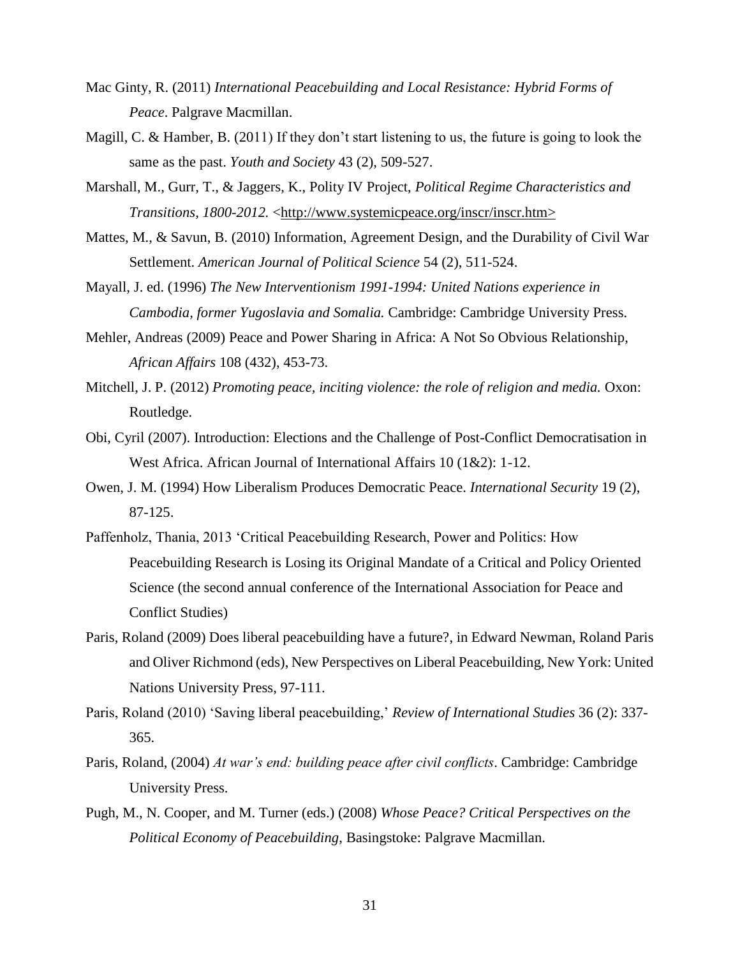- Mac Ginty, R. (2011) *International Peacebuilding and Local Resistance: Hybrid Forms of Peace*. Palgrave Macmillan.
- Magill, C. & Hamber, B. (2011) If they don't start listening to us, the future is going to look the same as the past. *Youth and Society* 43 (2), 509-527.
- Marshall, M., Gurr, T., & Jaggers, K., Polity IV Project, *Political Regime Characteristics and Transitions, 1800-2012.* [<http://www.systemicpeace.org/inscr/inscr.htm>](http://www.systemicpeace.org/inscr/inscr.htm)
- Mattes, M., & Savun, B. (2010) Information, Agreement Design, and the Durability of Civil War Settlement. *American Journal of Political Science* 54 (2), 511-524.
- Mayall, J. ed. (1996) *The New Interventionism 1991-1994: United Nations experience in Cambodia, former Yugoslavia and Somalia.* Cambridge: Cambridge University Press.
- Mehler, Andreas (2009) Peace and Power Sharing in Africa: A Not So Obvious Relationship, *African Affairs* 108 (432), 453-73.
- Mitchell, J. P. (2012) *Promoting peace, inciting violence: the role of religion and media.* Oxon: Routledge.
- Obi, Cyril (2007). Introduction: Elections and the Challenge of Post-Conflict Democratisation in West Africa. African Journal of International Affairs 10 (1&2): 1-12.
- Owen, J. M. (1994) How Liberalism Produces Democratic Peace. *International Security* 19 (2), 87-125.
- Paffenholz, Thania, 2013 'Critical Peacebuilding Research, Power and Politics: How Peacebuilding Research is Losing its Original Mandate of a Critical and Policy Oriented Science (the second annual conference of the International Association for Peace and Conflict Studies)
- Paris, Roland (2009) Does liberal peacebuilding have a future?, in Edward Newman, Roland Paris and Oliver Richmond (eds), New Perspectives on Liberal Peacebuilding, New York: United Nations University Press, 97-111.
- Paris, Roland (2010) 'Saving liberal peacebuilding,' *Review of International Studies* 36 (2): 337- 365.
- Paris, Roland, (2004) *At war's end: building peace after civil conflicts*. Cambridge: Cambridge University Press.
- Pugh, M., N. Cooper, and M. Turner (eds.) (2008) *Whose Peace? Critical Perspectives on the Political Economy of Peacebuilding*, Basingstoke: Palgrave Macmillan.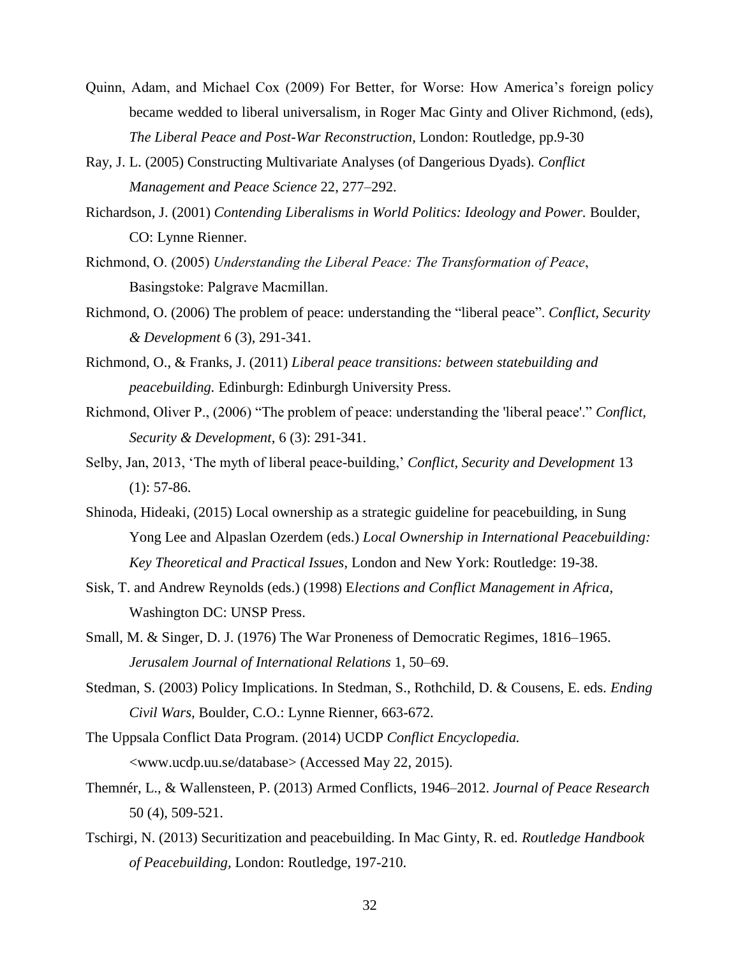- Quinn, Adam, and Michael Cox (2009) For Better, for Worse: How America's foreign policy became wedded to liberal universalism, in Roger Mac Ginty and Oliver Richmond, (eds), *The Liberal Peace and Post-War Reconstruction*, London: Routledge, pp.9-30
- Ray, J. L. (2005) Constructing Multivariate Analyses (of Dangerious Dyads). *Conflict Management and Peace Science* 22, 277–292.
- Richardson, J. (2001) *Contending Liberalisms in World Politics: Ideology and Power.* Boulder, CO: Lynne Rienner.
- Richmond, O. (2005) *Understanding the Liberal Peace: The Transformation of Peace*, Basingstoke: Palgrave Macmillan.
- Richmond, O. (2006) The problem of peace: understanding the "liberal peace". *Conflict, Security & Development* 6 (3), 291-341.
- Richmond, O., & Franks, J. (2011) *Liberal peace transitions: between statebuilding and peacebuilding.* Edinburgh: Edinburgh University Press.
- Richmond, Oliver P., (2006) "The problem of peace: understanding the 'liberal peace'." *Conflict, Security & Development*, 6 (3): 291-341.
- Selby, Jan, 2013, 'The myth of liberal peace-building,' *Conflict, Security and Development* 13  $(1): 57-86.$
- Shinoda, Hideaki, (2015) Local ownership as a strategic guideline for peacebuilding, in Sung Yong Lee and Alpaslan Ozerdem (eds.) *Local Ownership in International Peacebuilding: Key Theoretical and Practical Issues*, London and New York: Routledge: 19-38.
- Sisk, T. and Andrew Reynolds (eds.) (1998) E*lections and Conflict Management in Africa*, Washington DC: UNSP Press.
- Small, M. & Singer, D. J. (1976) The War Proneness of Democratic Regimes, 1816–1965. *Jerusalem Journal of International Relations* 1, 50–69.
- Stedman, S. (2003) Policy Implications. In Stedman, S., Rothchild, D. & Cousens, E. eds. *Ending Civil Wars,* Boulder, C.O.: Lynne Rienner, 663-672.
- The Uppsala Conflict Data Program. (2014) UCDP *Conflict Encyclopedia.* <www.ucdp.uu.se/database> (Accessed May 22, 2015).
- Themnér, L., & Wallensteen, P. (2013) Armed Conflicts, 1946–2012. *Journal of Peace Research* 50 (4), 509-521.
- Tschirgi, N. (2013) Securitization and peacebuilding. In Mac Ginty, R. ed. *Routledge Handbook of Peacebuilding,* London: Routledge, 197-210.